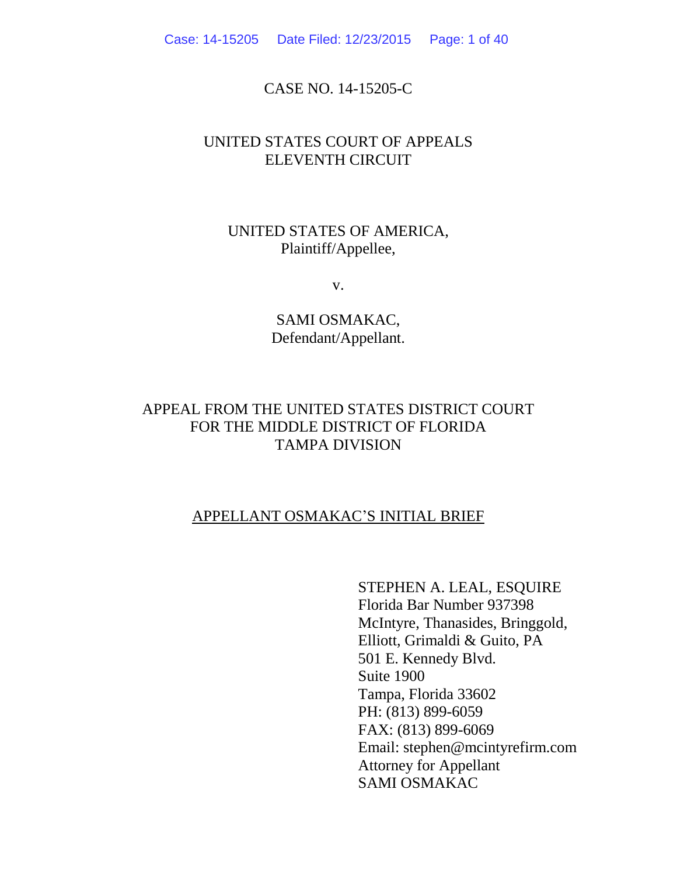Case: 14-15205 Date Filed: 12/23/2015 Page: 1 of 40

## CASE NO. 14-15205-C

## UNITED STATES COURT OF APPEALS ELEVENTH CIRCUIT

## UNITED STATES OF AMERICA, Plaintiff/Appellee,

v.

SAMI OSMAKAC, Defendant/Appellant.

## APPEAL FROM THE UNITED STATES DISTRICT COURT FOR THE MIDDLE DISTRICT OF FLORIDA TAMPA DIVISION

## APPELLANT OSMAKAC'S INITIAL BRIEF

STEPHEN A. LEAL, ESQUIRE Florida Bar Number 937398 McIntyre, Thanasides, Bringgold, Elliott, Grimaldi & Guito, PA 501 E. Kennedy Blvd. Suite 1900 Tampa, Florida 33602 PH: (813) 899-6059 FAX: (813) 899-6069 Email: stephen@mcintyrefirm.com Attorney for Appellant SAMI OSMAKAC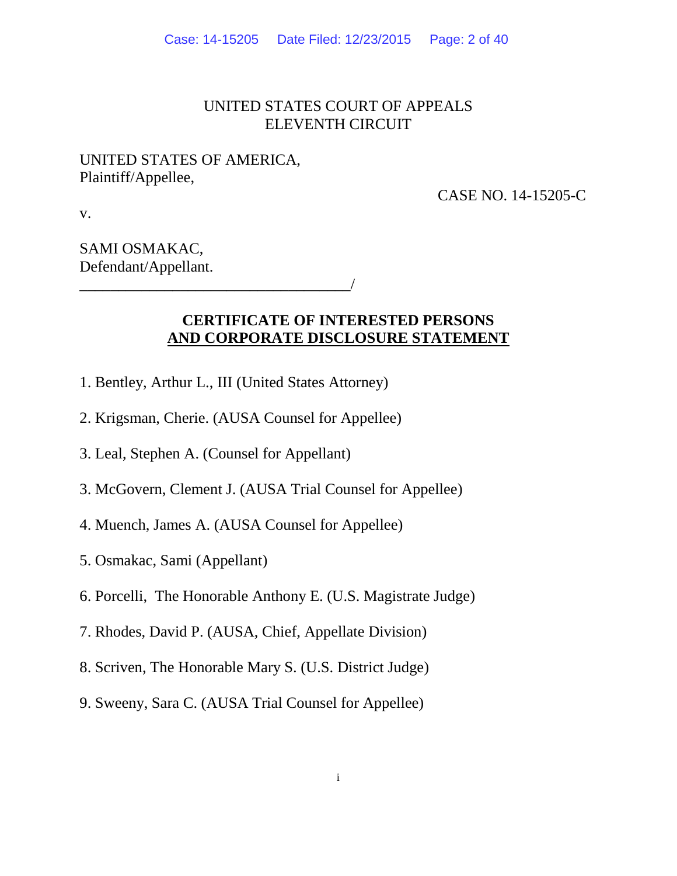## UNITED STATES COURT OF APPEALS ELEVENTH CIRCUIT

## UNITED STATES OF AMERICA, Plaintiff/Appellee,

CASE NO. 14-15205-C

v.

## SAMI OSMAKAC, Defendant/Appellant.

## **CERTIFICATE OF INTERESTED PERSONS AND CORPORATE DISCLOSURE STATEMENT**

- 1. Bentley, Arthur L., III (United States Attorney)
- 2. Krigsman, Cherie. (AUSA Counsel for Appellee)
- 3. Leal, Stephen A. (Counsel for Appellant)

\_\_\_\_\_\_\_\_\_\_\_\_\_\_\_\_\_\_\_\_\_\_\_\_\_\_\_\_\_\_\_\_\_\_\_/

- 3. McGovern, Clement J. (AUSA Trial Counsel for Appellee)
- 4. Muench, James A. (AUSA Counsel for Appellee)
- 5. Osmakac, Sami (Appellant)
- 6. Porcelli, The Honorable Anthony E. (U.S. Magistrate Judge)
- 7. Rhodes, David P. (AUSA, Chief, Appellate Division)
- 8. Scriven, The Honorable Mary S. (U.S. District Judge)
- 9. Sweeny, Sara C. (AUSA Trial Counsel for Appellee)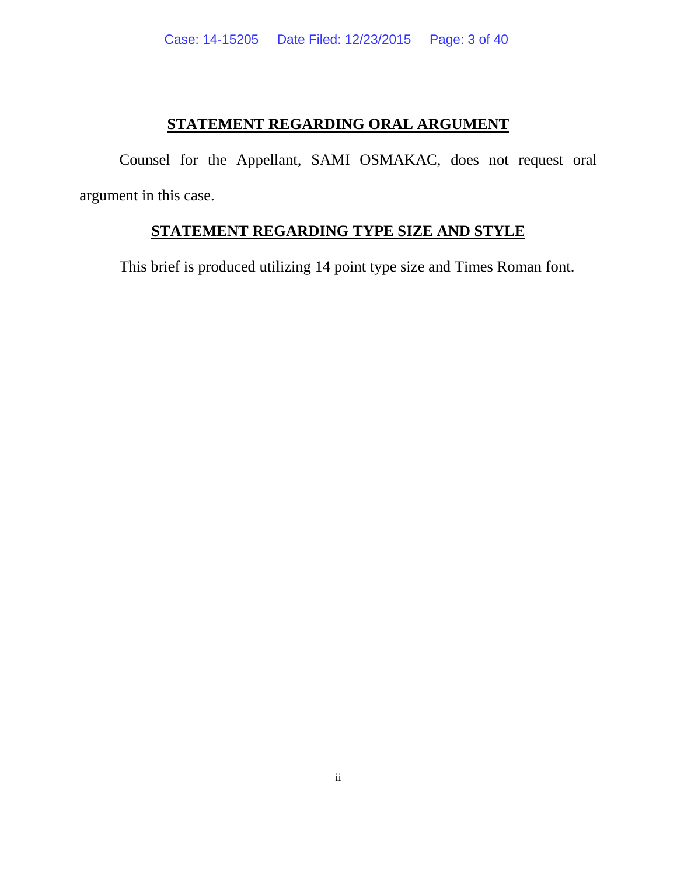## **STATEMENT REGARDING ORAL ARGUMENT**

Counsel for the Appellant, SAMI OSMAKAC, does not request oral argument in this case.

## **STATEMENT REGARDING TYPE SIZE AND STYLE**

This brief is produced utilizing 14 point type size and Times Roman font.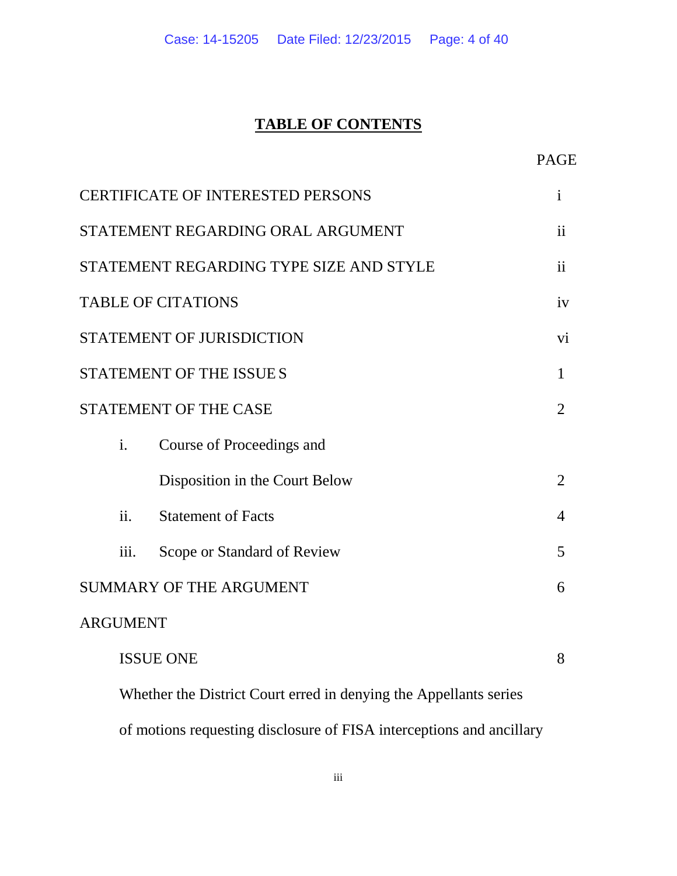# **TABLE OF CONTENTS**

|                                          |                                                                      | <b>PAGE</b>    |
|------------------------------------------|----------------------------------------------------------------------|----------------|
| <b>CERTIFICATE OF INTERESTED PERSONS</b> |                                                                      | $\mathbf{i}$   |
| STATEMENT REGARDING ORAL ARGUMENT        |                                                                      | $\mathbf{ii}$  |
| STATEMENT REGARDING TYPE SIZE AND STYLE  |                                                                      | $\mathbf{ii}$  |
| <b>TABLE OF CITATIONS</b>                |                                                                      | iv             |
| <b>STATEMENT OF JURISDICTION</b>         |                                                                      | vi             |
| <b>STATEMENT OF THE ISSUE S</b>          |                                                                      | 1              |
| <b>STATEMENT OF THE CASE</b>             |                                                                      | 2              |
| i.<br>Course of Proceedings and          |                                                                      |                |
| Disposition in the Court Below           |                                                                      | $\overline{2}$ |
| ii.<br><b>Statement of Facts</b>         |                                                                      | 4              |
| iii.<br>Scope or Standard of Review      |                                                                      | 5              |
| <b>SUMMARY OF THE ARGUMENT</b>           |                                                                      | 6              |
| <b>ARGUMENT</b>                          |                                                                      |                |
| <b>ISSUE ONE</b>                         |                                                                      | 8              |
|                                          | Whether the District Court erred in denying the Appellants series    |                |
|                                          | of motions requesting disclosure of FISA interceptions and ancillary |                |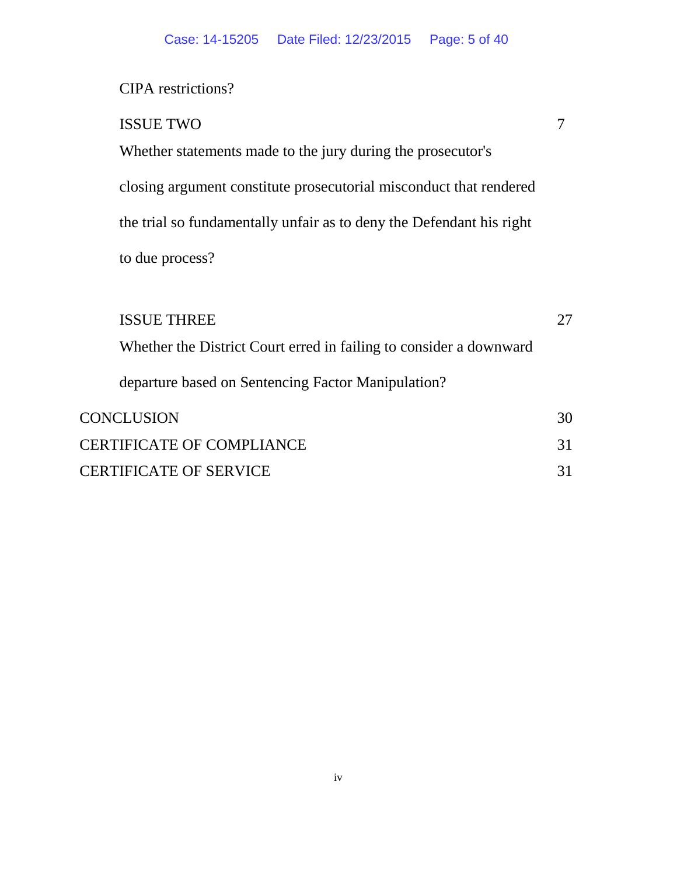## CIPA restrictions?

| <b>ISSUE TWO</b>                                                     |  |
|----------------------------------------------------------------------|--|
| Whether statements made to the jury during the prosecutor's          |  |
| closing argument constitute prosecutorial misconduct that rendered   |  |
| the trial so fundamentally unfair as to deny the Defendant his right |  |
| to due process?                                                      |  |

| <b>ISSUE THREE</b>                                                 |    |
|--------------------------------------------------------------------|----|
| Whether the District Court erred in failing to consider a downward |    |
| departure based on Sentencing Factor Manipulation?                 |    |
| <b>CONCLUSION</b>                                                  | 30 |
| <b>CERTIFICATE OF COMPLIANCE</b>                                   | 31 |
| <b>CERTIFICATE OF SERVICE</b>                                      |    |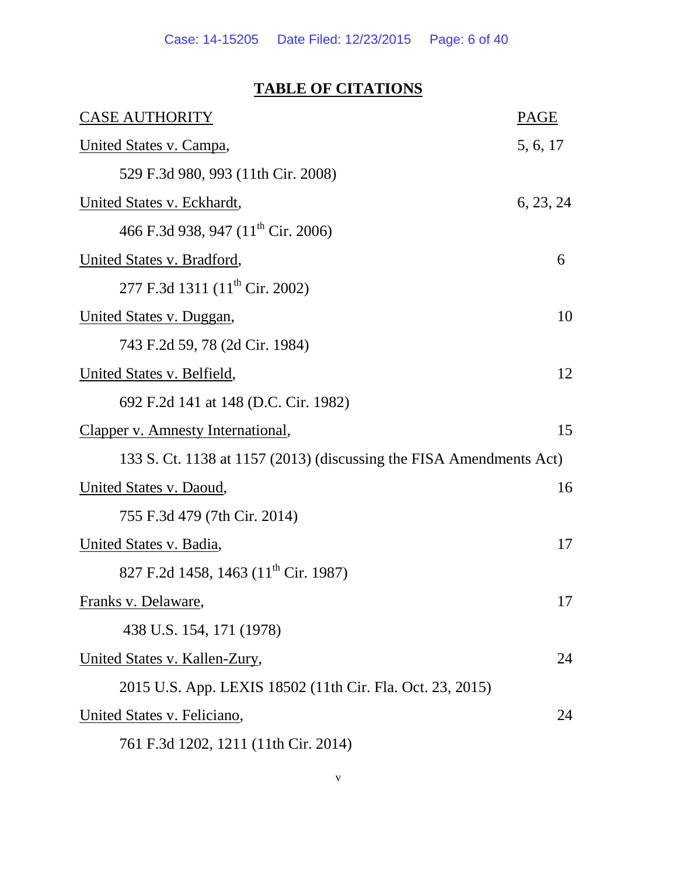# **TABLE OF CITATIONS**

| <b>CASE AUTHORITY</b>                                               | <b>PAGE</b> |
|---------------------------------------------------------------------|-------------|
| United States v. Campa,                                             | 5, 6, 17    |
| 529 F.3d 980, 993 (11th Cir. 2008)                                  |             |
| <b>United States v. Eckhardt,</b>                                   | 6, 23, 24   |
| 466 F.3d 938, 947 (11 <sup>th</sup> Cir. 2006)                      |             |
| United States v. Bradford,                                          | 6           |
| 277 F.3d 1311 (11 <sup>th</sup> Cir. 2002)                          |             |
| United States v. Duggan,                                            | 10          |
| 743 F.2d 59, 78 (2d Cir. 1984)                                      |             |
| United States v. Belfield,                                          | 12          |
| 692 F.2d 141 at 148 (D.C. Cir. 1982)                                |             |
| Clapper v. Amnesty International,                                   | 15          |
| 133 S. Ct. 1138 at 1157 (2013) (discussing the FISA Amendments Act) |             |
| United States v. Daoud,                                             | 16          |
| 755 F.3d 479 (7th Cir. 2014)                                        |             |
| United States v. Badia,                                             | 17          |
| 827 F.2d 1458, 1463 (11 <sup>th</sup> Cir. 1987)                    |             |
| <u>Franks v. Delaware,</u>                                          | 17          |
| 438 U.S. 154, 171 (1978)                                            |             |
| United States v. Kallen-Zury,                                       | 24          |
| 2015 U.S. App. LEXIS 18502 (11th Cir. Fla. Oct. 23, 2015)           |             |
| United States v. Feliciano,                                         | 24          |
| 761 F.3d 1202, 1211 (11th Cir. 2014)                                |             |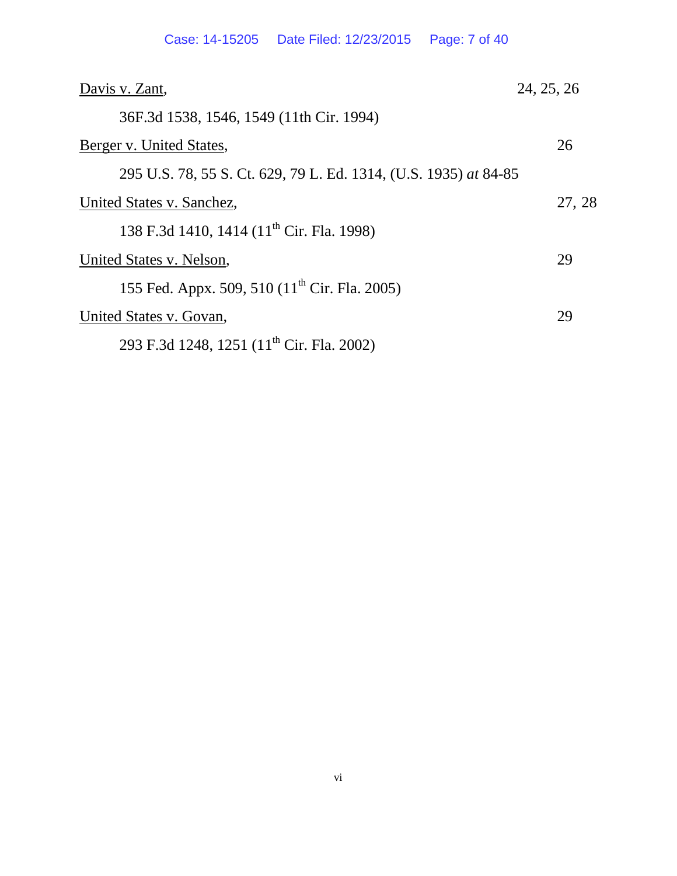| Davis v. Zant,                                                   | 24, 25, 26 |  |
|------------------------------------------------------------------|------------|--|
| 36F.3d 1538, 1546, 1549 (11th Cir. 1994)                         |            |  |
| Berger v. United States,                                         | 26         |  |
| 295 U.S. 78, 55 S. Ct. 629, 79 L. Ed. 1314, (U.S. 1935) at 84-85 |            |  |
| United States v. Sanchez,                                        | 27, 28     |  |
| 138 F.3d 1410, 1414 (11 <sup>th</sup> Cir. Fla. 1998)            |            |  |
| United States v. Nelson,                                         |            |  |
| 155 Fed. Appx. 509, 510 (11 <sup>th</sup> Cir. Fla. 2005)        |            |  |
| United States v. Govan,                                          | 29         |  |
| 293 F.3d 1248, 1251 (11 <sup>th</sup> Cir. Fla. 2002)            |            |  |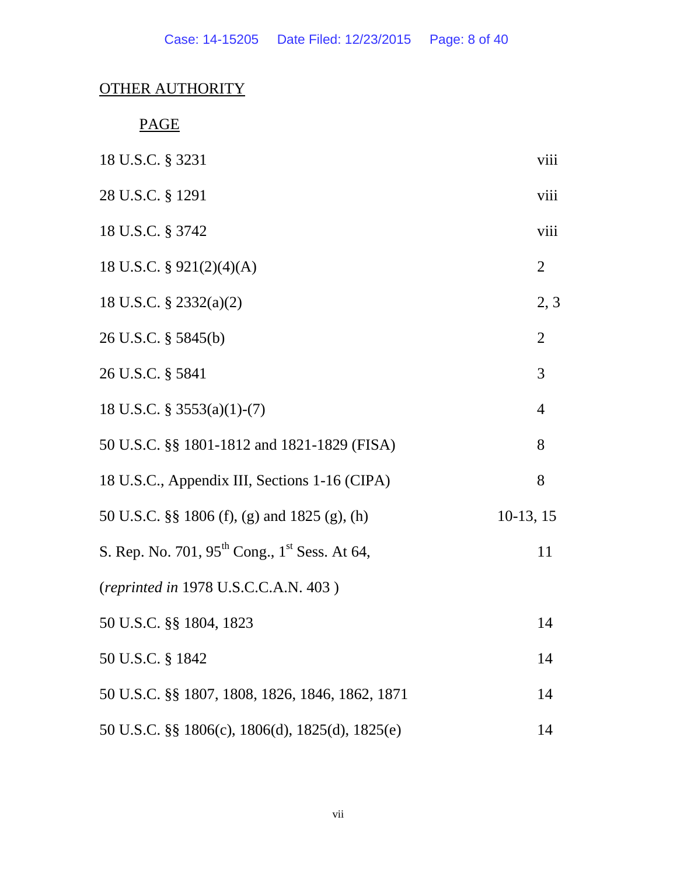# OTHER AUTHORITY

PAGE

| 18 U.S.C. § 3231                                                      | viii           |
|-----------------------------------------------------------------------|----------------|
| 28 U.S.C. § 1291                                                      | viii           |
| 18 U.S.C. § 3742                                                      | viii           |
| 18 U.S.C. $\S$ 921(2)(4)(A)                                           | $\overline{2}$ |
| 18 U.S.C. $\S$ 2332(a)(2)                                             | 2, 3           |
| 26 U.S.C. § 5845(b)                                                   | $\overline{2}$ |
| 26 U.S.C. § 5841                                                      | 3              |
| 18 U.S.C. $\S$ 3553(a)(1)-(7)                                         | $\overline{4}$ |
| 50 U.S.C. §§ 1801-1812 and 1821-1829 (FISA)                           | 8              |
| 18 U.S.C., Appendix III, Sections 1-16 (CIPA)                         | 8              |
| 50 U.S.C. §§ 1806 (f), (g) and 1825 (g), (h)                          | $10-13, 15$    |
| S. Rep. No. 701, 95 <sup>th</sup> Cong., 1 <sup>st</sup> Sess. At 64, | 11             |
| (reprinted in 1978 U.S.C.C.A.N. 403)                                  |                |
| 50 U.S.C. §§ 1804, 1823                                               | 14             |
| 50 U.S.C. § 1842                                                      | 14             |
| 50 U.S.C. §§ 1807, 1808, 1826, 1846, 1862, 1871                       | 14             |
| 50 U.S.C. §§ 1806(c), 1806(d), 1825(d), 1825(e)                       | 14             |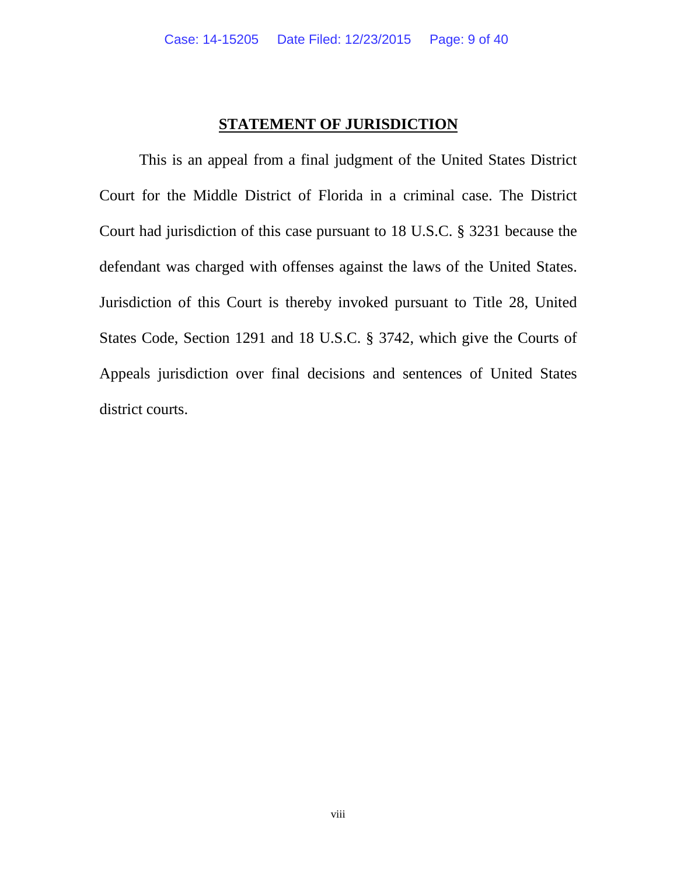## **STATEMENT OF JURISDICTION**

This is an appeal from a final judgment of the United States District Court for the Middle District of Florida in a criminal case. The District Court had jurisdiction of this case pursuant to 18 U.S.C. § 3231 because the defendant was charged with offenses against the laws of the United States. Jurisdiction of this Court is thereby invoked pursuant to Title 28, United States Code, Section 1291 and 18 U.S.C. § 3742, which give the Courts of Appeals jurisdiction over final decisions and sentences of United States district courts.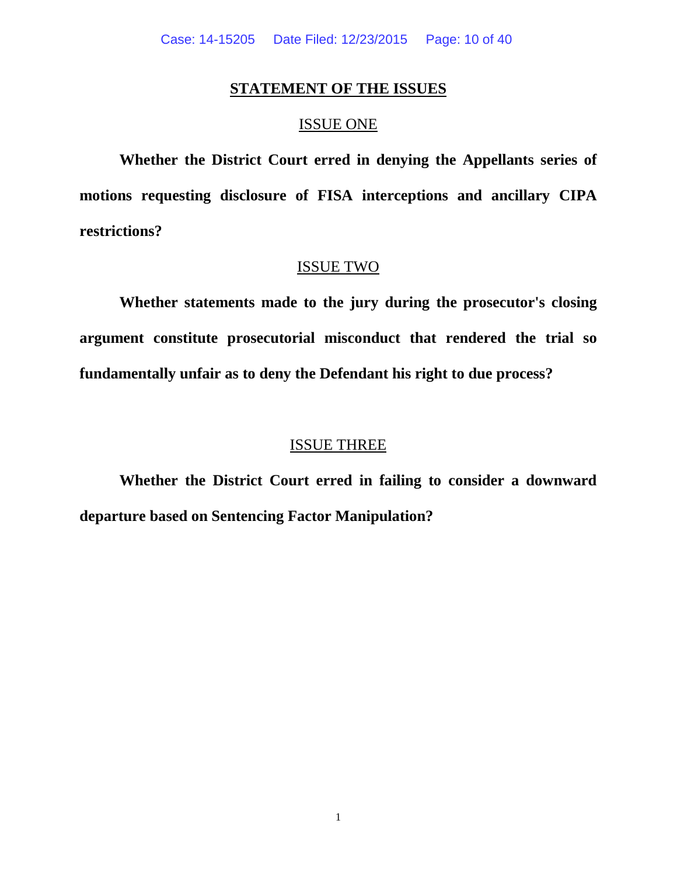## **STATEMENT OF THE ISSUES**

## ISSUE ONE

**Whether the District Court erred in denying the Appellants series of motions requesting disclosure of FISA interceptions and ancillary CIPA restrictions?**

## ISSUE TWO

**Whether statements made to the jury during the prosecutor's closing argument constitute prosecutorial misconduct that rendered the trial so fundamentally unfair as to deny the Defendant his right to due process?**

## ISSUE THREE

**Whether the District Court erred in failing to consider a downward departure based on Sentencing Factor Manipulation?**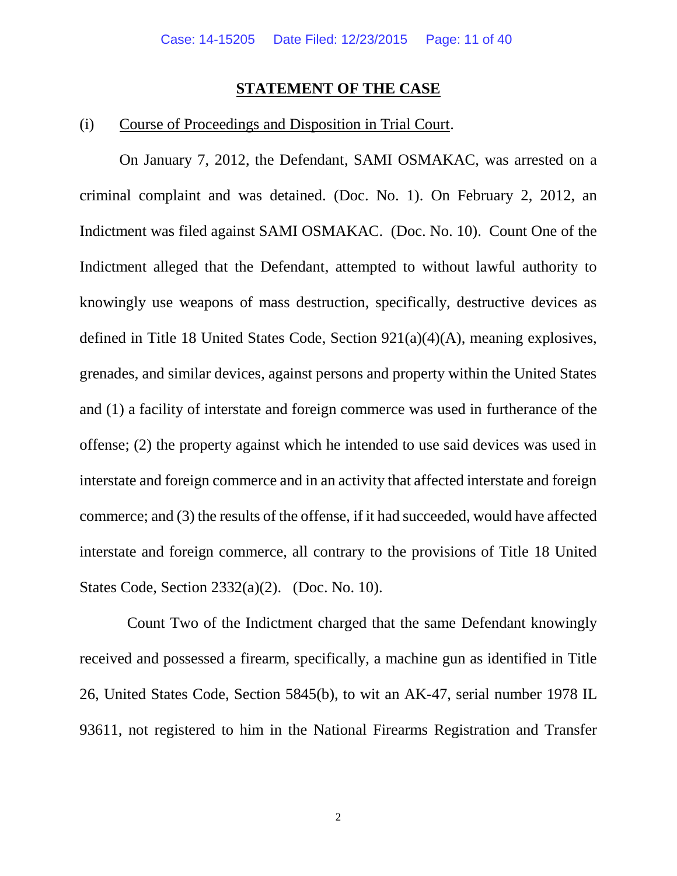#### **STATEMENT OF THE CASE**

## (i) Course of Proceedings and Disposition in Trial Court.

On January 7, 2012, the Defendant, SAMI OSMAKAC, was arrested on a criminal complaint and was detained. (Doc. No. 1). On February 2, 2012, an Indictment was filed against SAMI OSMAKAC. (Doc. No. 10). Count One of the Indictment alleged that the Defendant, attempted to without lawful authority to knowingly use weapons of mass destruction, specifically, destructive devices as defined in Title 18 United States Code, Section 921(a)(4)(A), meaning explosives, grenades, and similar devices, against persons and property within the United States and (1) a facility of interstate and foreign commerce was used in furtherance of the offense; (2) the property against which he intended to use said devices was used in interstate and foreign commerce and in an activity that affected interstate and foreign commerce; and (3) the results of the offense, if it had succeeded, would have affected interstate and foreign commerce, all contrary to the provisions of Title 18 United States Code, Section 2332(a)(2). (Doc. No. 10).

 Count Two of the Indictment charged that the same Defendant knowingly received and possessed a firearm, specifically, a machine gun as identified in Title 26, United States Code, Section 5845(b), to wit an AK-47, serial number 1978 IL 93611, not registered to him in the National Firearms Registration and Transfer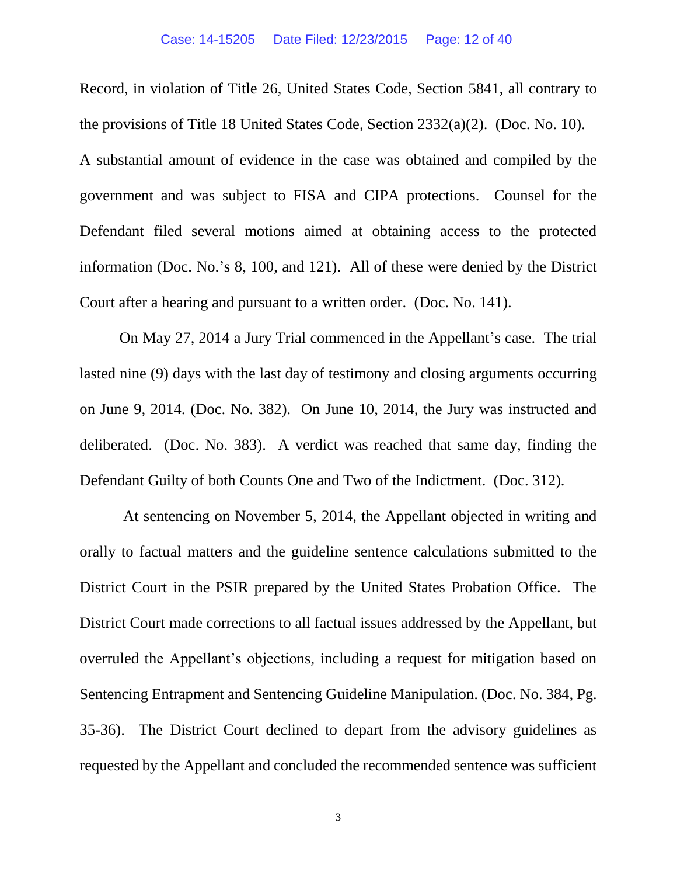Record, in violation of Title 26, United States Code, Section 5841, all contrary to the provisions of Title 18 United States Code, Section 2332(a)(2). (Doc. No. 10). A substantial amount of evidence in the case was obtained and compiled by the government and was subject to FISA and CIPA protections. Counsel for the Defendant filed several motions aimed at obtaining access to the protected information (Doc. No.'s 8, 100, and 121). All of these were denied by the District Court after a hearing and pursuant to a written order. (Doc. No. 141).

On May 27, 2014 a Jury Trial commenced in the Appellant's case. The trial lasted nine (9) days with the last day of testimony and closing arguments occurring on June 9, 2014. (Doc. No. 382). On June 10, 2014, the Jury was instructed and deliberated. (Doc. No. 383). A verdict was reached that same day, finding the Defendant Guilty of both Counts One and Two of the Indictment. (Doc. 312).

At sentencing on November 5, 2014, the Appellant objected in writing and orally to factual matters and the guideline sentence calculations submitted to the District Court in the PSIR prepared by the United States Probation Office. The District Court made corrections to all factual issues addressed by the Appellant, but overruled the Appellant's objections, including a request for mitigation based on Sentencing Entrapment and Sentencing Guideline Manipulation. (Doc. No. 384, Pg. 35-36). The District Court declined to depart from the advisory guidelines as requested by the Appellant and concluded the recommended sentence was sufficient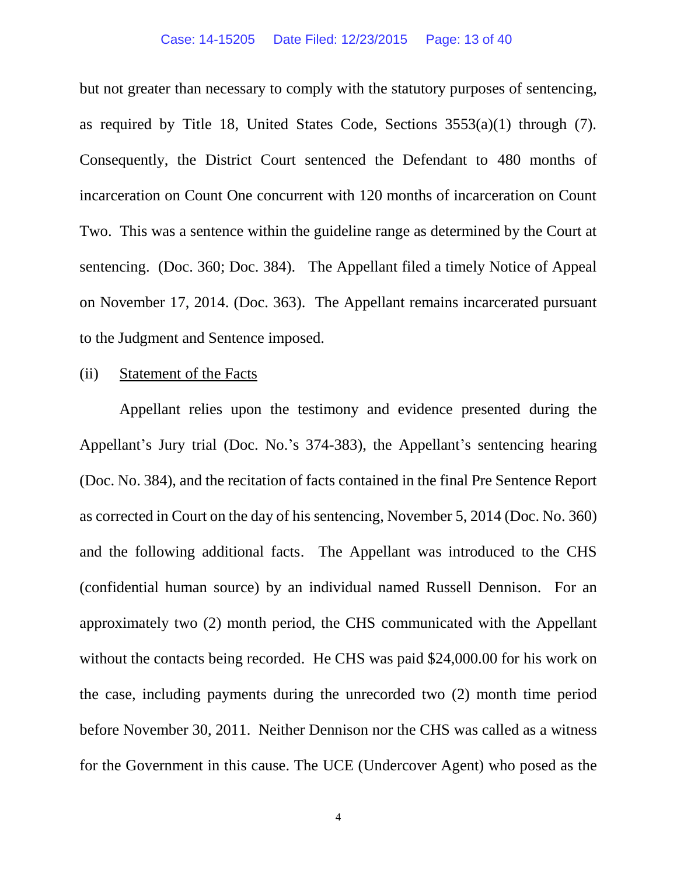but not greater than necessary to comply with the statutory purposes of sentencing, as required by Title 18, United States Code, Sections 3553(a)(1) through (7). Consequently, the District Court sentenced the Defendant to 480 months of incarceration on Count One concurrent with 120 months of incarceration on Count Two. This was a sentence within the guideline range as determined by the Court at sentencing. (Doc. 360; Doc. 384). The Appellant filed a timely Notice of Appeal on November 17, 2014. (Doc. 363). The Appellant remains incarcerated pursuant to the Judgment and Sentence imposed.

#### (ii) Statement of the Facts

Appellant relies upon the testimony and evidence presented during the Appellant's Jury trial (Doc. No.'s 374-383), the Appellant's sentencing hearing (Doc. No. 384), and the recitation of facts contained in the final Pre Sentence Report as corrected in Court on the day of his sentencing, November 5, 2014 (Doc. No. 360) and the following additional facts. The Appellant was introduced to the CHS (confidential human source) by an individual named Russell Dennison. For an approximately two (2) month period, the CHS communicated with the Appellant without the contacts being recorded. He CHS was paid \$24,000.00 for his work on the case, including payments during the unrecorded two (2) month time period before November 30, 2011. Neither Dennison nor the CHS was called as a witness for the Government in this cause. The UCE (Undercover Agent) who posed as the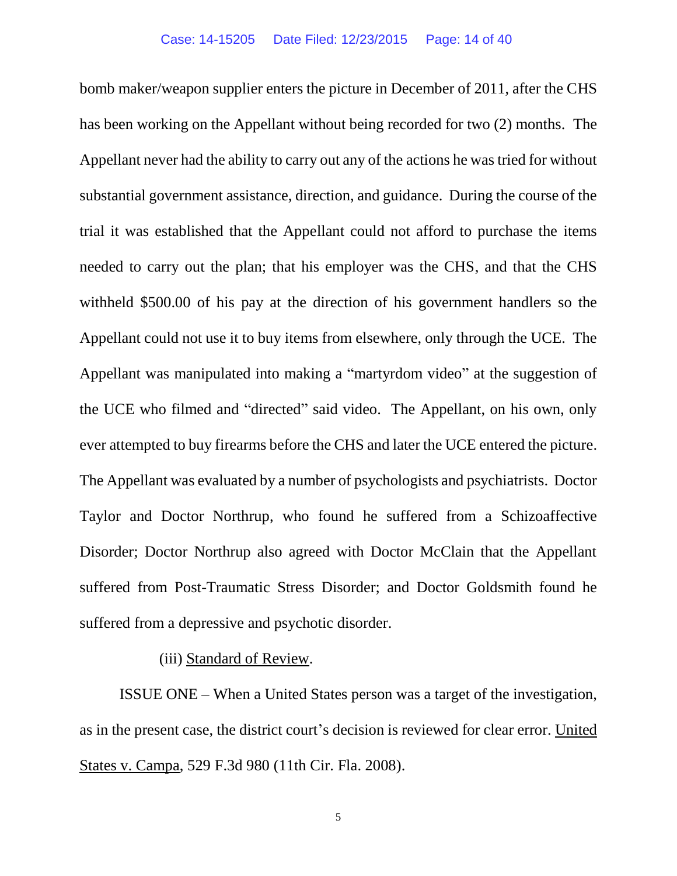bomb maker/weapon supplier enters the picture in December of 2011, after the CHS has been working on the Appellant without being recorded for two (2) months. The Appellant never had the ability to carry out any of the actions he was tried for without substantial government assistance, direction, and guidance. During the course of the trial it was established that the Appellant could not afford to purchase the items needed to carry out the plan; that his employer was the CHS, and that the CHS withheld \$500.00 of his pay at the direction of his government handlers so the Appellant could not use it to buy items from elsewhere, only through the UCE. The Appellant was manipulated into making a "martyrdom video" at the suggestion of the UCE who filmed and "directed" said video. The Appellant, on his own, only ever attempted to buy firearms before the CHS and later the UCE entered the picture. The Appellant was evaluated by a number of psychologists and psychiatrists. Doctor Taylor and Doctor Northrup, who found he suffered from a Schizoaffective Disorder; Doctor Northrup also agreed with Doctor McClain that the Appellant suffered from Post-Traumatic Stress Disorder; and Doctor Goldsmith found he suffered from a depressive and psychotic disorder.

## (iii) Standard of Review.

ISSUE ONE – When a United States person was a target of the investigation, as in the present case, the district court's decision is reviewed for clear error. United States v. Campa, 529 F.3d 980 (11th Cir. Fla. 2008).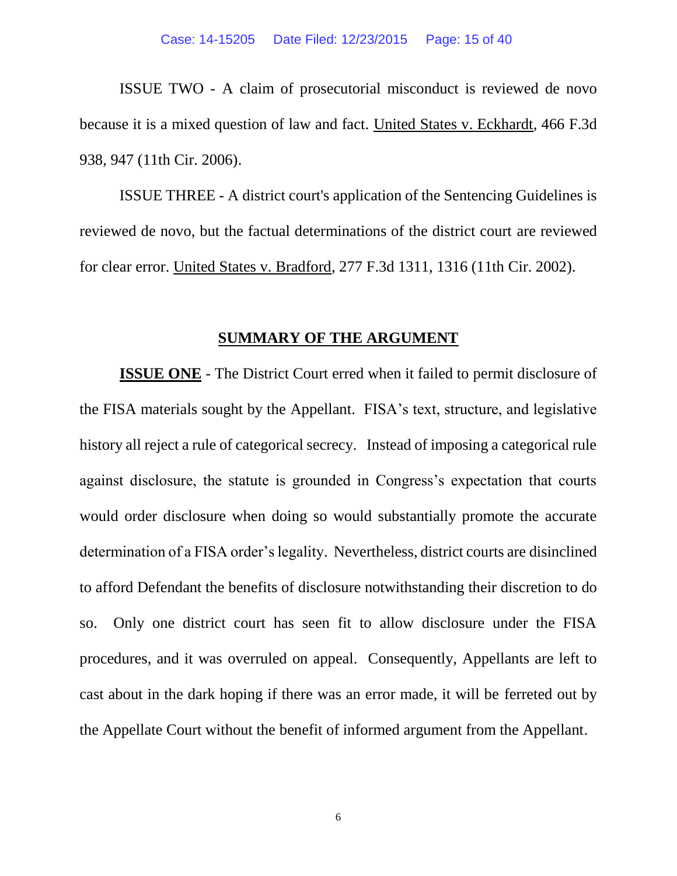ISSUE TWO - A claim of prosecutorial misconduct is reviewed de novo because it is a mixed question of law and fact. United States v. Eckhardt, 466 F.3d 938, 947 (11th Cir. 2006).

ISSUE THREE - A district court's application of the Sentencing Guidelines is reviewed de novo, but the factual determinations of the district court are reviewed for clear error. United States v. Bradford, 277 F.3d 1311, 1316 (11th Cir. 2002).

#### **SUMMARY OF THE ARGUMENT**

**ISSUE ONE** - The District Court erred when it failed to permit disclosure of the FISA materials sought by the Appellant. FISA's text, structure, and legislative history all reject a rule of categorical secrecy. Instead of imposing a categorical rule against disclosure, the statute is grounded in Congress's expectation that courts would order disclosure when doing so would substantially promote the accurate determination of a FISA order's legality. Nevertheless, district courts are disinclined to afford Defendant the benefits of disclosure notwithstanding their discretion to do so. Only one district court has seen fit to allow disclosure under the FISA procedures, and it was overruled on appeal. Consequently, Appellants are left to cast about in the dark hoping if there was an error made, it will be ferreted out by the Appellate Court without the benefit of informed argument from the Appellant.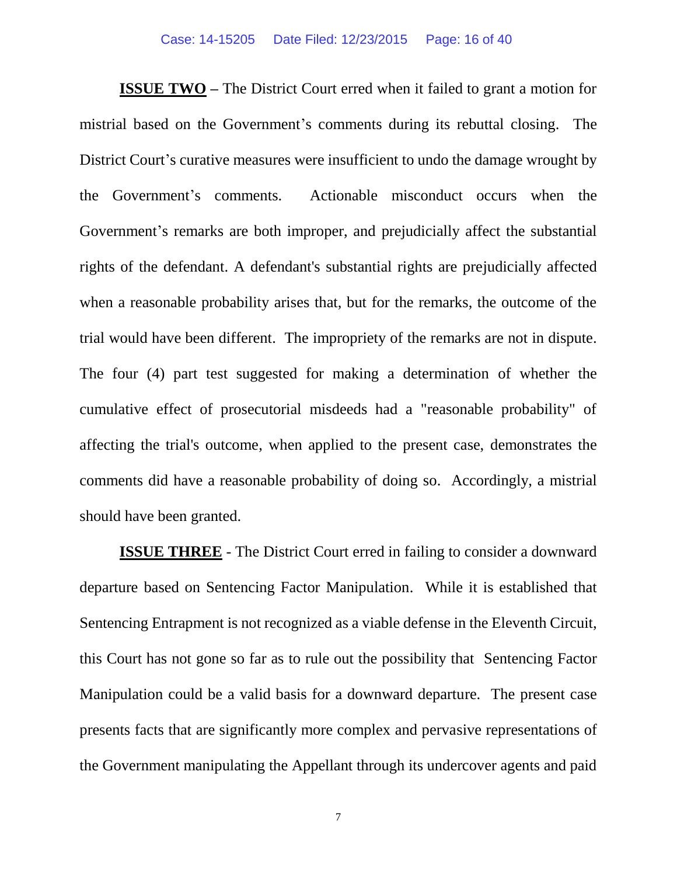**ISSUE TWO** – The District Court erred when it failed to grant a motion for mistrial based on the Government's comments during its rebuttal closing. The District Court's curative measures were insufficient to undo the damage wrought by the Government's comments. Actionable misconduct occurs when the Government's remarks are both improper, and prejudicially affect the substantial rights of the defendant. A defendant's substantial rights are prejudicially affected when a reasonable probability arises that, but for the remarks, the outcome of the trial would have been different. The impropriety of the remarks are not in dispute. The four (4) part test suggested for making a determination of whether the cumulative effect of prosecutorial misdeeds had a "reasonable probability" of affecting the trial's outcome, when applied to the present case, demonstrates the comments did have a reasonable probability of doing so. Accordingly, a mistrial should have been granted.

**ISSUE THREE** - The District Court erred in failing to consider a downward departure based on Sentencing Factor Manipulation. While it is established that Sentencing Entrapment is not recognized as a viable defense in the Eleventh Circuit, this Court has not gone so far as to rule out the possibility that Sentencing Factor Manipulation could be a valid basis for a downward departure. The present case presents facts that are significantly more complex and pervasive representations of the Government manipulating the Appellant through its undercover agents and paid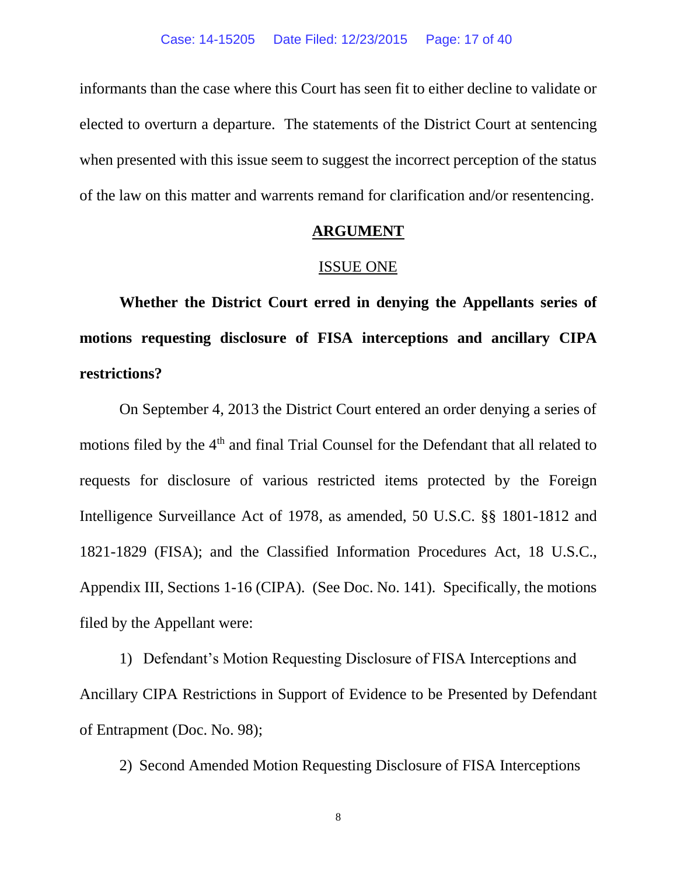informants than the case where this Court has seen fit to either decline to validate or elected to overturn a departure. The statements of the District Court at sentencing when presented with this issue seem to suggest the incorrect perception of the status of the law on this matter and warrents remand for clarification and/or resentencing.

#### **ARGUMENT**

#### ISSUE ONE

**Whether the District Court erred in denying the Appellants series of motions requesting disclosure of FISA interceptions and ancillary CIPA restrictions?**

On September 4, 2013 the District Court entered an order denying a series of motions filed by the 4<sup>th</sup> and final Trial Counsel for the Defendant that all related to requests for disclosure of various restricted items protected by the Foreign Intelligence Surveillance Act of 1978, as amended, 50 U.S.C. §§ 1801-1812 and 1821-1829 (FISA); and the Classified Information Procedures Act, 18 U.S.C., Appendix III, Sections 1-16 (CIPA). (See Doc. No. 141). Specifically, the motions filed by the Appellant were:

1) Defendant's Motion Requesting Disclosure of FISA Interceptions and Ancillary CIPA Restrictions in Support of Evidence to be Presented by Defendant of Entrapment (Doc. No. 98);

2) Second Amended Motion Requesting Disclosure of FISA Interceptions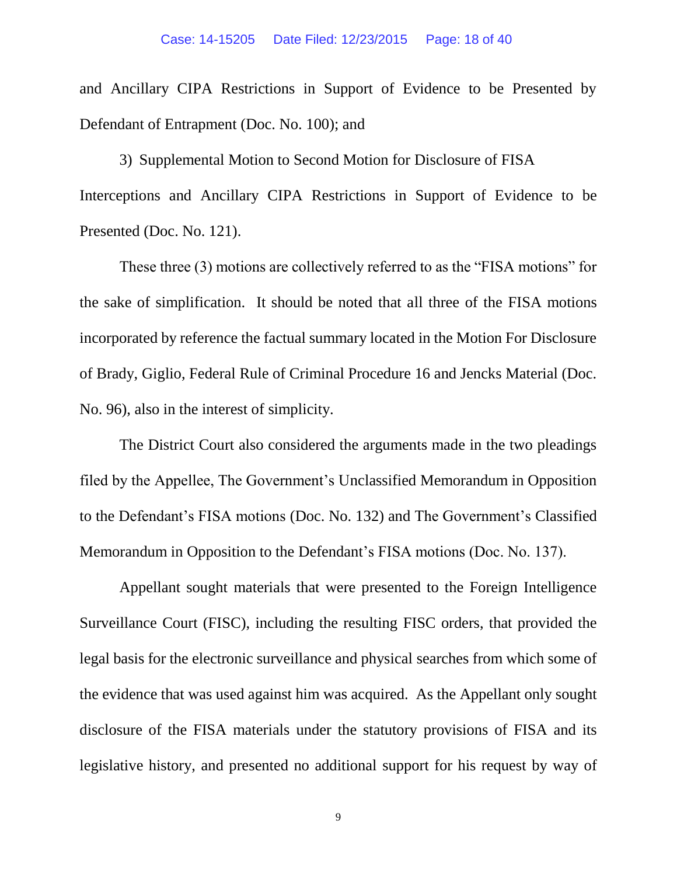and Ancillary CIPA Restrictions in Support of Evidence to be Presented by Defendant of Entrapment (Doc. No. 100); and

3) Supplemental Motion to Second Motion for Disclosure of FISA Interceptions and Ancillary CIPA Restrictions in Support of Evidence to be Presented (Doc. No. 121).

These three (3) motions are collectively referred to as the "FISA motions" for the sake of simplification. It should be noted that all three of the FISA motions incorporated by reference the factual summary located in the Motion For Disclosure of Brady, Giglio, Federal Rule of Criminal Procedure 16 and Jencks Material (Doc. No. 96), also in the interest of simplicity.

The District Court also considered the arguments made in the two pleadings filed by the Appellee, The Government's Unclassified Memorandum in Opposition to the Defendant's FISA motions (Doc. No. 132) and The Government's Classified Memorandum in Opposition to the Defendant's FISA motions (Doc. No. 137).

Appellant sought materials that were presented to the Foreign Intelligence Surveillance Court (FISC), including the resulting FISC orders, that provided the legal basis for the electronic surveillance and physical searches from which some of the evidence that was used against him was acquired. As the Appellant only sought disclosure of the FISA materials under the statutory provisions of FISA and its legislative history, and presented no additional support for his request by way of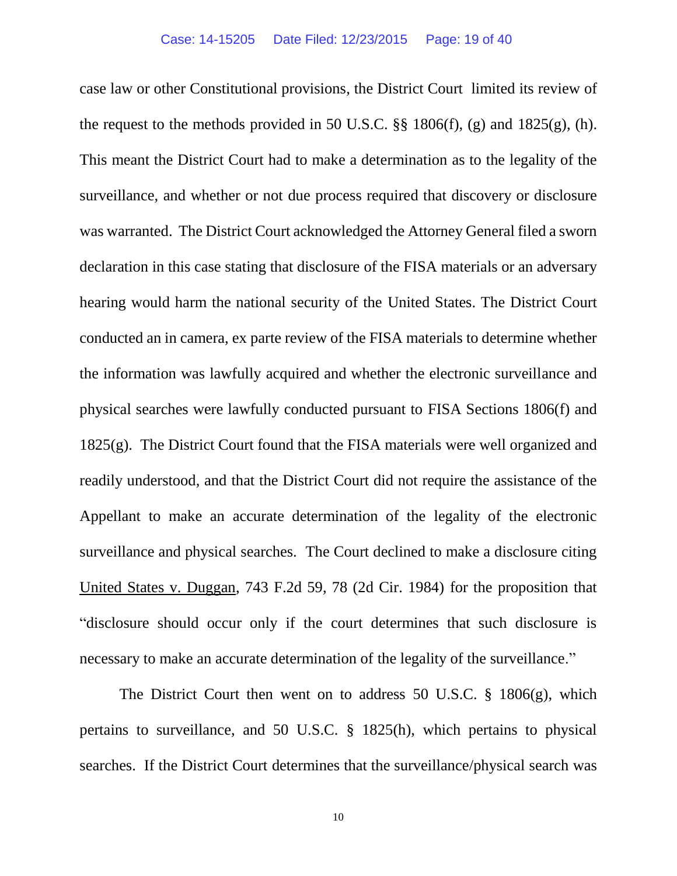case law or other Constitutional provisions, the District Court limited its review of the request to the methods provided in 50 U.S.C.  $\S$  1806(f), (g) and 1825(g), (h). This meant the District Court had to make a determination as to the legality of the surveillance, and whether or not due process required that discovery or disclosure was warranted. The District Court acknowledged the Attorney General filed a sworn declaration in this case stating that disclosure of the FISA materials or an adversary hearing would harm the national security of the United States. The District Court conducted an in camera, ex parte review of the FISA materials to determine whether the information was lawfully acquired and whether the electronic surveillance and physical searches were lawfully conducted pursuant to FISA Sections 1806(f) and 1825(g). The District Court found that the FISA materials were well organized and readily understood, and that the District Court did not require the assistance of the Appellant to make an accurate determination of the legality of the electronic surveillance and physical searches. The Court declined to make a disclosure citing United States v. Duggan, 743 F.2d 59, 78 (2d Cir. 1984) for the proposition that "disclosure should occur only if the court determines that such disclosure is necessary to make an accurate determination of the legality of the surveillance."

The District Court then went on to address 50 U.S.C. § 1806(g), which pertains to surveillance, and 50 U.S.C. § 1825(h), which pertains to physical searches. If the District Court determines that the surveillance/physical search was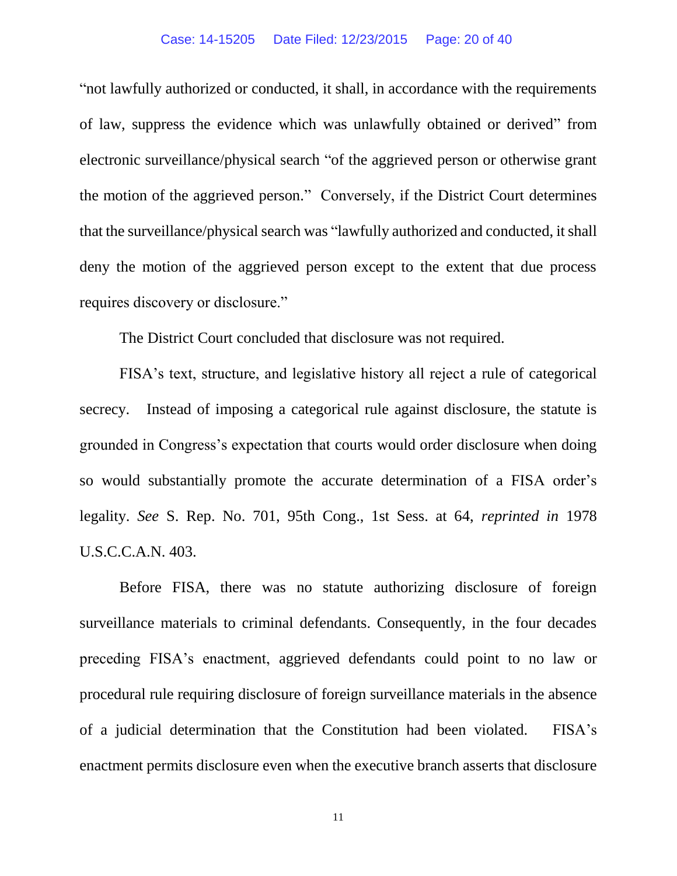#### Case: 14-15205 Date Filed: 12/23/2015 Page: 20 of 40

"not lawfully authorized or conducted, it shall, in accordance with the requirements of law, suppress the evidence which was unlawfully obtained or derived" from electronic surveillance/physical search "of the aggrieved person or otherwise grant the motion of the aggrieved person." Conversely, if the District Court determines that the surveillance/physical search was "lawfully authorized and conducted, it shall deny the motion of the aggrieved person except to the extent that due process requires discovery or disclosure."

The District Court concluded that disclosure was not required.

FISA's text, structure, and legislative history all reject a rule of categorical secrecy. Instead of imposing a categorical rule against disclosure, the statute is grounded in Congress's expectation that courts would order disclosure when doing so would substantially promote the accurate determination of a FISA order's legality. *See* S. Rep. No. 701, 95th Cong., 1st Sess. at 64, *reprinted in* 1978 U.S.C.C.A.N. 403.

Before FISA, there was no statute authorizing disclosure of foreign surveillance materials to criminal defendants. Consequently, in the four decades preceding FISA's enactment, aggrieved defendants could point to no law or procedural rule requiring disclosure of foreign surveillance materials in the absence of a judicial determination that the Constitution had been violated. FISA's enactment permits disclosure even when the executive branch asserts that disclosure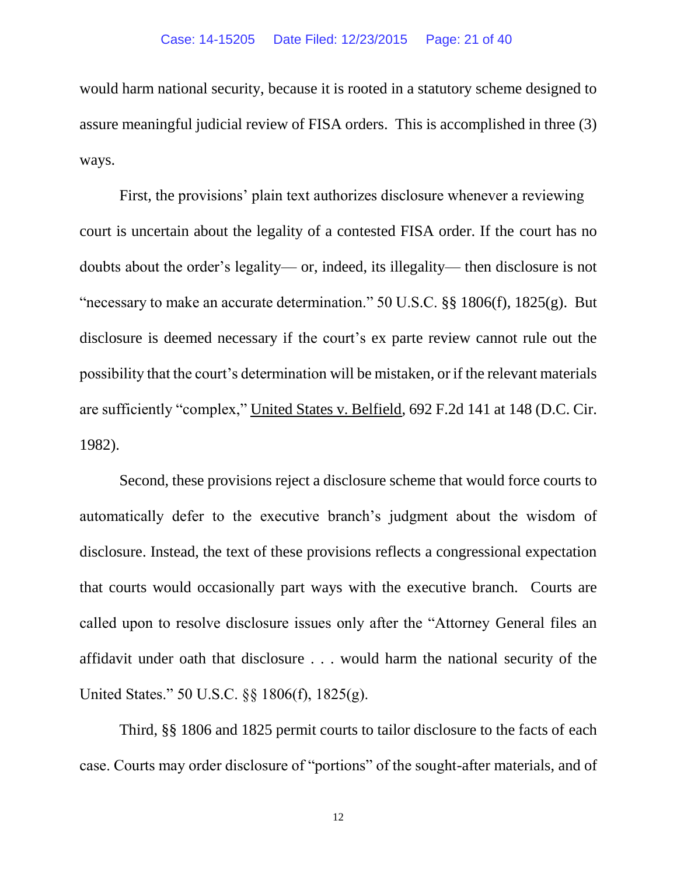would harm national security, because it is rooted in a statutory scheme designed to assure meaningful judicial review of FISA orders. This is accomplished in three (3) ways.

First, the provisions' plain text authorizes disclosure whenever a reviewing court is uncertain about the legality of a contested FISA order. If the court has no doubts about the order's legality— or, indeed, its illegality— then disclosure is not "necessary to make an accurate determination." 50 U.S.C. §§ 1806(f), 1825(g). But disclosure is deemed necessary if the court's ex parte review cannot rule out the possibility that the court's determination will be mistaken, or if the relevant materials are sufficiently "complex," United States v. Belfield, 692 F.2d 141 at 148 (D.C. Cir. 1982).

Second, these provisions reject a disclosure scheme that would force courts to automatically defer to the executive branch's judgment about the wisdom of disclosure. Instead, the text of these provisions reflects a congressional expectation that courts would occasionally part ways with the executive branch. Courts are called upon to resolve disclosure issues only after the "Attorney General files an affidavit under oath that disclosure . . . would harm the national security of the United States." 50 U.S.C. §§ 1806(f), 1825(g).

Third, §§ 1806 and 1825 permit courts to tailor disclosure to the facts of each case. Courts may order disclosure of "portions" of the sought-after materials, and of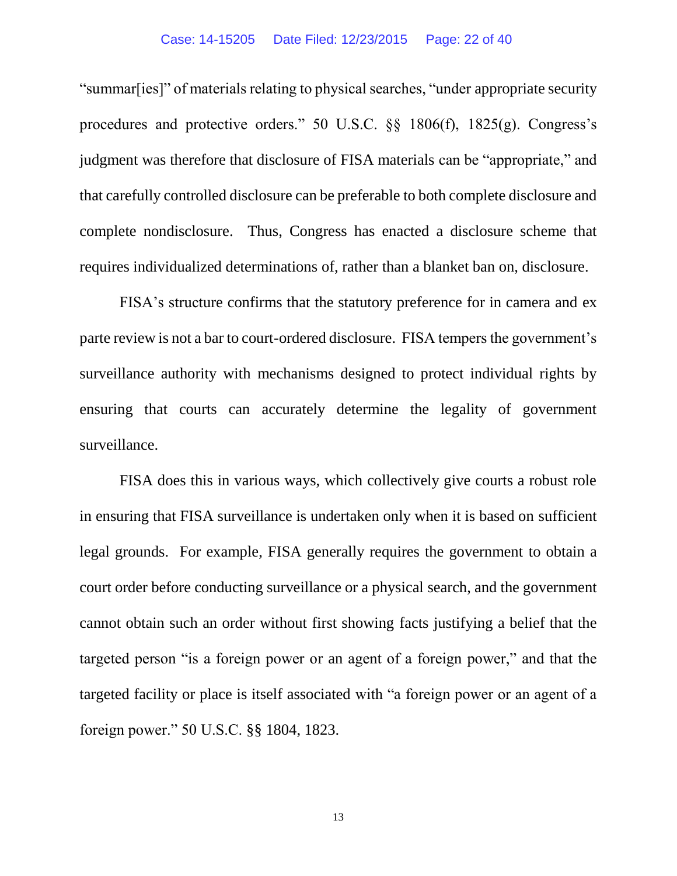"summar[ies]" of materials relating to physical searches, "under appropriate security procedures and protective orders." 50 U.S.C. §§ 1806(f), 1825(g). Congress's judgment was therefore that disclosure of FISA materials can be "appropriate," and that carefully controlled disclosure can be preferable to both complete disclosure and complete nondisclosure. Thus, Congress has enacted a disclosure scheme that requires individualized determinations of, rather than a blanket ban on, disclosure.

FISA's structure confirms that the statutory preference for in camera and ex parte review is not a bar to court-ordered disclosure. FISA tempers the government's surveillance authority with mechanisms designed to protect individual rights by ensuring that courts can accurately determine the legality of government surveillance.

FISA does this in various ways, which collectively give courts a robust role in ensuring that FISA surveillance is undertaken only when it is based on sufficient legal grounds. For example, FISA generally requires the government to obtain a court order before conducting surveillance or a physical search, and the government cannot obtain such an order without first showing facts justifying a belief that the targeted person "is a foreign power or an agent of a foreign power," and that the targeted facility or place is itself associated with "a foreign power or an agent of a foreign power." 50 U.S.C. §§ 1804, 1823.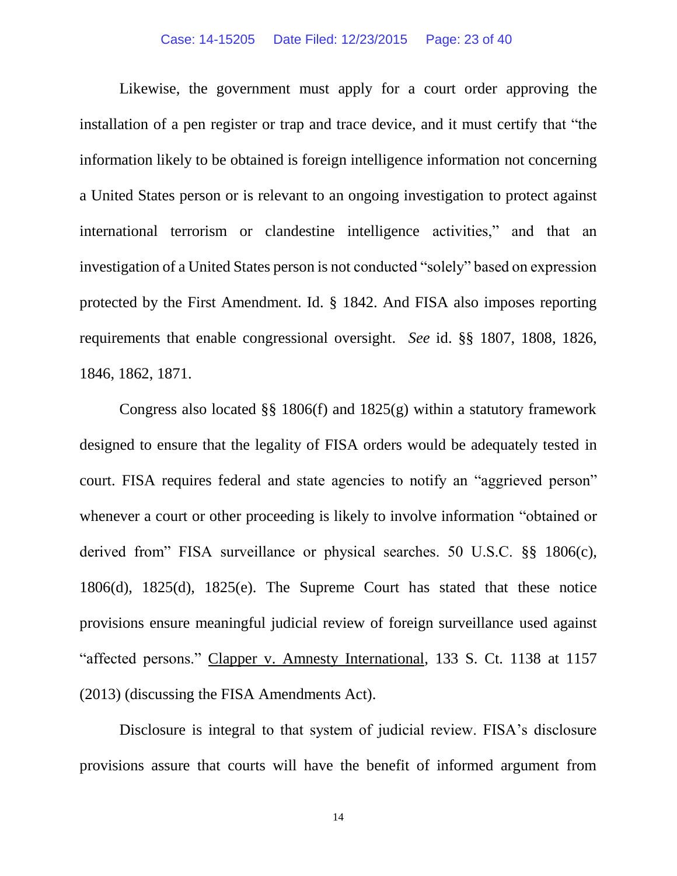#### Case: 14-15205 Date Filed: 12/23/2015 Page: 23 of 40

Likewise, the government must apply for a court order approving the installation of a pen register or trap and trace device, and it must certify that "the information likely to be obtained is foreign intelligence information not concerning a United States person or is relevant to an ongoing investigation to protect against international terrorism or clandestine intelligence activities," and that an investigation of a United States person is not conducted "solely" based on expression protected by the First Amendment. Id. § 1842. And FISA also imposes reporting requirements that enable congressional oversight. *See* id. §§ 1807, 1808, 1826, 1846, 1862, 1871.

Congress also located  $\S$ § 1806(f) and 1825(g) within a statutory framework designed to ensure that the legality of FISA orders would be adequately tested in court. FISA requires federal and state agencies to notify an "aggrieved person" whenever a court or other proceeding is likely to involve information "obtained or derived from" FISA surveillance or physical searches. 50 U.S.C. §§ 1806(c), 1806(d), 1825(d), 1825(e). The Supreme Court has stated that these notice provisions ensure meaningful judicial review of foreign surveillance used against "affected persons." Clapper v. Amnesty International, 133 S. Ct. 1138 at 1157 (2013) (discussing the FISA Amendments Act).

Disclosure is integral to that system of judicial review. FISA's disclosure provisions assure that courts will have the benefit of informed argument from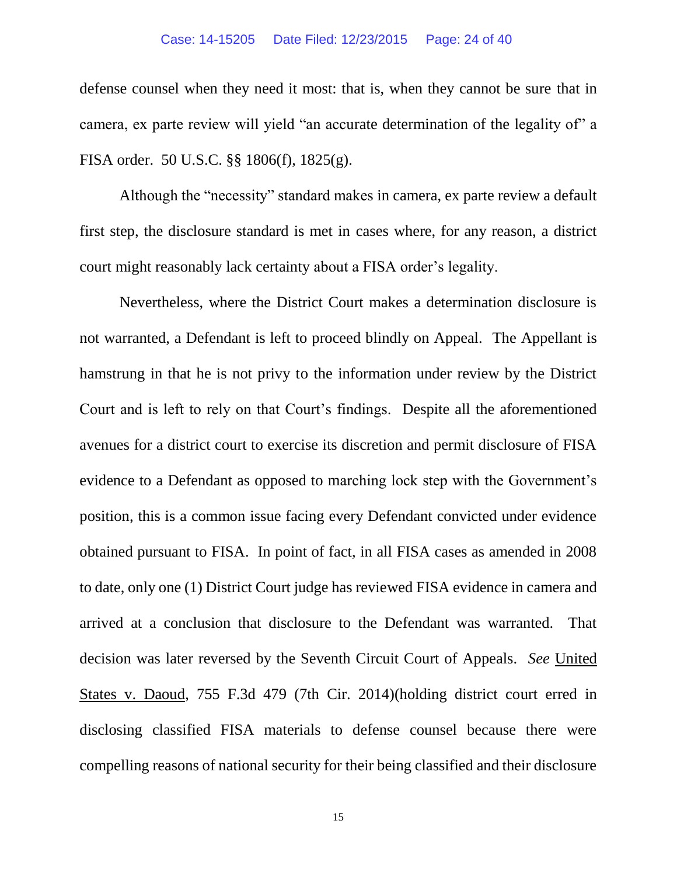#### Case: 14-15205 Date Filed: 12/23/2015 Page: 24 of 40

defense counsel when they need it most: that is, when they cannot be sure that in camera, ex parte review will yield "an accurate determination of the legality of" a FISA order. 50 U.S.C. §§ 1806(f), 1825(g).

Although the "necessity" standard makes in camera, ex parte review a default first step, the disclosure standard is met in cases where, for any reason, a district court might reasonably lack certainty about a FISA order's legality.

Nevertheless, where the District Court makes a determination disclosure is not warranted, a Defendant is left to proceed blindly on Appeal. The Appellant is hamstrung in that he is not privy to the information under review by the District Court and is left to rely on that Court's findings. Despite all the aforementioned avenues for a district court to exercise its discretion and permit disclosure of FISA evidence to a Defendant as opposed to marching lock step with the Government's position, this is a common issue facing every Defendant convicted under evidence obtained pursuant to FISA. In point of fact, in all FISA cases as amended in 2008 to date, only one (1) District Court judge has reviewed FISA evidence in camera and arrived at a conclusion that disclosure to the Defendant was warranted. That decision was later reversed by the Seventh Circuit Court of Appeals. *See* United States v. Daoud, 755 F.3d 479 (7th Cir. 2014)(holding district court erred in disclosing classified FISA materials to defense counsel because there were compelling reasons of national security for their being classified and their disclosure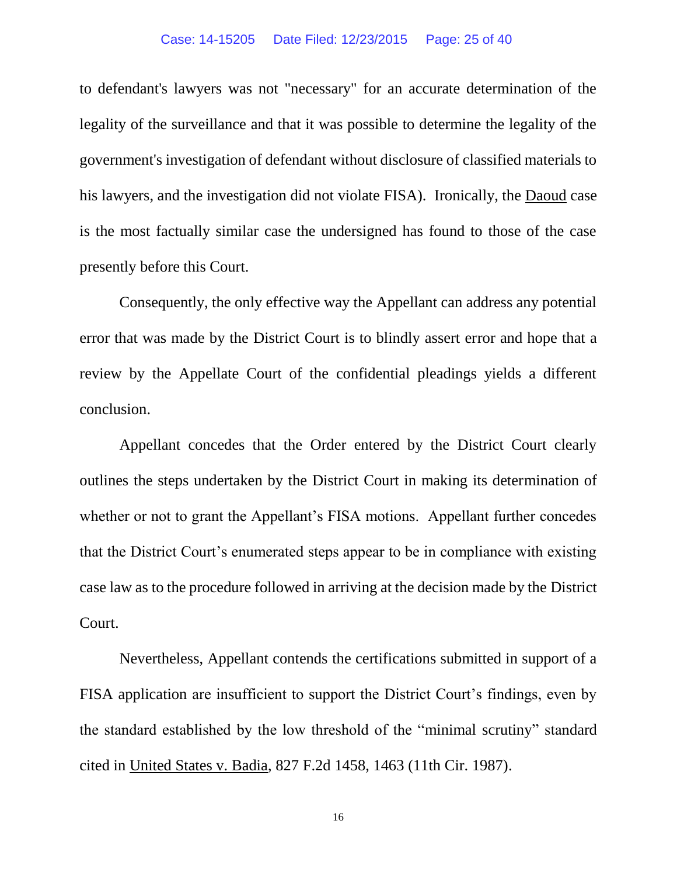#### Case: 14-15205 Date Filed: 12/23/2015 Page: 25 of 40

to defendant's lawyers was not "necessary" for an accurate determination of the legality of the surveillance and that it was possible to determine the legality of the government's investigation of defendant without disclosure of classified materials to his lawyers, and the investigation did not violate FISA). Ironically, the Daoud case is the most factually similar case the undersigned has found to those of the case presently before this Court.

Consequently, the only effective way the Appellant can address any potential error that was made by the District Court is to blindly assert error and hope that a review by the Appellate Court of the confidential pleadings yields a different conclusion.

Appellant concedes that the Order entered by the District Court clearly outlines the steps undertaken by the District Court in making its determination of whether or not to grant the Appellant's FISA motions. Appellant further concedes that the District Court's enumerated steps appear to be in compliance with existing case law as to the procedure followed in arriving at the decision made by the District Court.

Nevertheless, Appellant contends the certifications submitted in support of a FISA application are insufficient to support the District Court's findings, even by the standard established by the low threshold of the "minimal scrutiny" standard cited in United States v. Badia, 827 F.2d 1458, 1463 (11th Cir. 1987).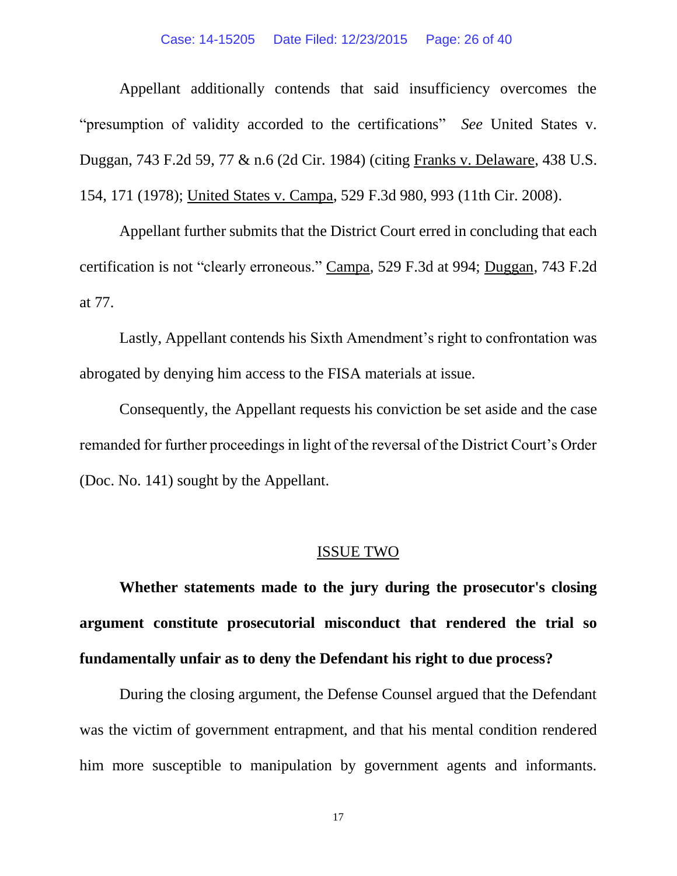#### Case: 14-15205 Date Filed: 12/23/2015 Page: 26 of 40

Appellant additionally contends that said insufficiency overcomes the "presumption of validity accorded to the certifications" *See* United States v. Duggan, 743 F.2d 59, 77 & n.6 (2d Cir. 1984) (citing Franks v. Delaware, 438 U.S. 154, 171 (1978); United States v. Campa, 529 F.3d 980, 993 (11th Cir. 2008).

Appellant further submits that the District Court erred in concluding that each certification is not "clearly erroneous." Campa, 529 F.3d at 994; Duggan, 743 F.2d at 77.

Lastly, Appellant contends his Sixth Amendment's right to confrontation was abrogated by denying him access to the FISA materials at issue.

Consequently, the Appellant requests his conviction be set aside and the case remanded for further proceedings in light of the reversal of the District Court's Order (Doc. No. 141) sought by the Appellant.

#### ISSUE TWO

**Whether statements made to the jury during the prosecutor's closing argument constitute prosecutorial misconduct that rendered the trial so fundamentally unfair as to deny the Defendant his right to due process?**

During the closing argument, the Defense Counsel argued that the Defendant was the victim of government entrapment, and that his mental condition rendered him more susceptible to manipulation by government agents and informants.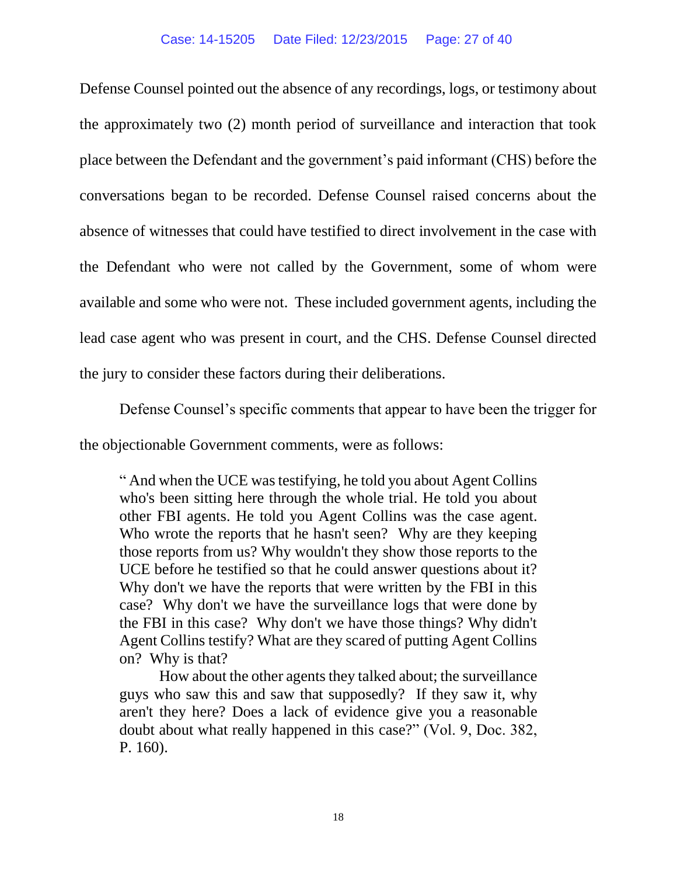Defense Counsel pointed out the absence of any recordings, logs, or testimony about the approximately two (2) month period of surveillance and interaction that took place between the Defendant and the government's paid informant (CHS) before the conversations began to be recorded. Defense Counsel raised concerns about the absence of witnesses that could have testified to direct involvement in the case with the Defendant who were not called by the Government, some of whom were available and some who were not. These included government agents, including the lead case agent who was present in court, and the CHS. Defense Counsel directed the jury to consider these factors during their deliberations.

Defense Counsel's specific comments that appear to have been the trigger for

the objectionable Government comments, were as follows:

" And when the UCE was testifying, he told you about Agent Collins who's been sitting here through the whole trial. He told you about other FBI agents. He told you Agent Collins was the case agent. Who wrote the reports that he hasn't seen? Why are they keeping those reports from us? Why wouldn't they show those reports to the UCE before he testified so that he could answer questions about it? Why don't we have the reports that were written by the FBI in this case? Why don't we have the surveillance logs that were done by the FBI in this case? Why don't we have those things? Why didn't Agent Collins testify? What are they scared of putting Agent Collins on? Why is that?

How about the other agents they talked about; the surveillance guys who saw this and saw that supposedly? If they saw it, why aren't they here? Does a lack of evidence give you a reasonable doubt about what really happened in this case?" (Vol. 9, Doc. 382, P. 160).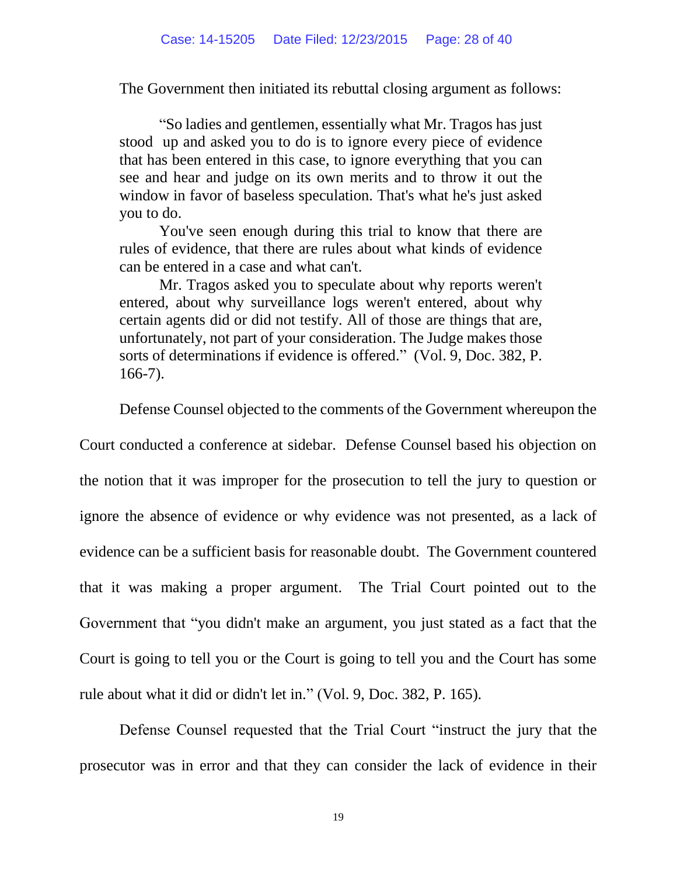The Government then initiated its rebuttal closing argument as follows:

"So ladies and gentlemen, essentially what Mr. Tragos has just stood up and asked you to do is to ignore every piece of evidence that has been entered in this case, to ignore everything that you can see and hear and judge on its own merits and to throw it out the window in favor of baseless speculation. That's what he's just asked you to do.

You've seen enough during this trial to know that there are rules of evidence, that there are rules about what kinds of evidence can be entered in a case and what can't.

Mr. Tragos asked you to speculate about why reports weren't entered, about why surveillance logs weren't entered, about why certain agents did or did not testify. All of those are things that are, unfortunately, not part of your consideration. The Judge makes those sorts of determinations if evidence is offered." (Vol. 9, Doc. 382, P. 166-7).

Defense Counsel objected to the comments of the Government whereupon the

Court conducted a conference at sidebar. Defense Counsel based his objection on the notion that it was improper for the prosecution to tell the jury to question or ignore the absence of evidence or why evidence was not presented, as a lack of evidence can be a sufficient basis for reasonable doubt. The Government countered that it was making a proper argument. The Trial Court pointed out to the Government that "you didn't make an argument, you just stated as a fact that the Court is going to tell you or the Court is going to tell you and the Court has some rule about what it did or didn't let in." (Vol. 9, Doc. 382, P. 165).

Defense Counsel requested that the Trial Court "instruct the jury that the prosecutor was in error and that they can consider the lack of evidence in their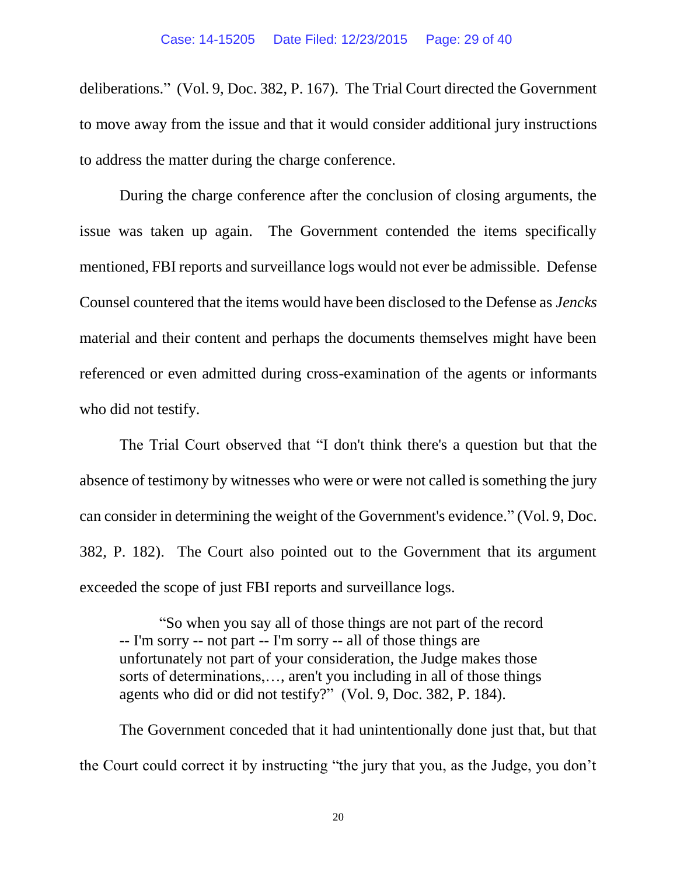deliberations." (Vol. 9, Doc. 382, P. 167). The Trial Court directed the Government to move away from the issue and that it would consider additional jury instructions to address the matter during the charge conference.

During the charge conference after the conclusion of closing arguments, the issue was taken up again. The Government contended the items specifically mentioned, FBI reports and surveillance logs would not ever be admissible. Defense Counsel countered that the items would have been disclosed to the Defense as *Jencks* material and their content and perhaps the documents themselves might have been referenced or even admitted during cross-examination of the agents or informants who did not testify.

The Trial Court observed that "I don't think there's a question but that the absence of testimony by witnesses who were or were not called is something the jury can consider in determining the weight of the Government's evidence." (Vol. 9, Doc. 382, P. 182). The Court also pointed out to the Government that its argument exceeded the scope of just FBI reports and surveillance logs.

"So when you say all of those things are not part of the record -- I'm sorry -- not part -- I'm sorry -- all of those things are unfortunately not part of your consideration, the Judge makes those sorts of determinations,…, aren't you including in all of those things agents who did or did not testify?" (Vol. 9, Doc. 382, P. 184).

The Government conceded that it had unintentionally done just that, but that the Court could correct it by instructing "the jury that you, as the Judge, you don't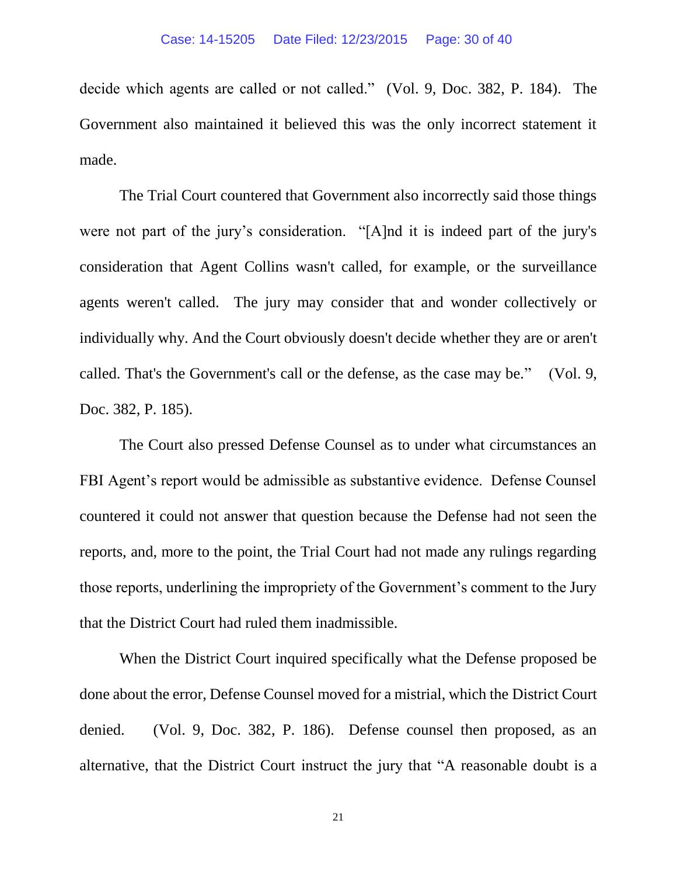decide which agents are called or not called." (Vol. 9, Doc. 382, P. 184). The Government also maintained it believed this was the only incorrect statement it made.

The Trial Court countered that Government also incorrectly said those things were not part of the jury's consideration. "[A]nd it is indeed part of the jury's consideration that Agent Collins wasn't called, for example, or the surveillance agents weren't called. The jury may consider that and wonder collectively or individually why. And the Court obviously doesn't decide whether they are or aren't called. That's the Government's call or the defense, as the case may be." (Vol. 9, Doc. 382, P. 185).

The Court also pressed Defense Counsel as to under what circumstances an FBI Agent's report would be admissible as substantive evidence. Defense Counsel countered it could not answer that question because the Defense had not seen the reports, and, more to the point, the Trial Court had not made any rulings regarding those reports, underlining the impropriety of the Government's comment to the Jury that the District Court had ruled them inadmissible.

When the District Court inquired specifically what the Defense proposed be done about the error, Defense Counsel moved for a mistrial, which the District Court denied. (Vol. 9, Doc. 382, P. 186). Defense counsel then proposed, as an alternative, that the District Court instruct the jury that "A reasonable doubt is a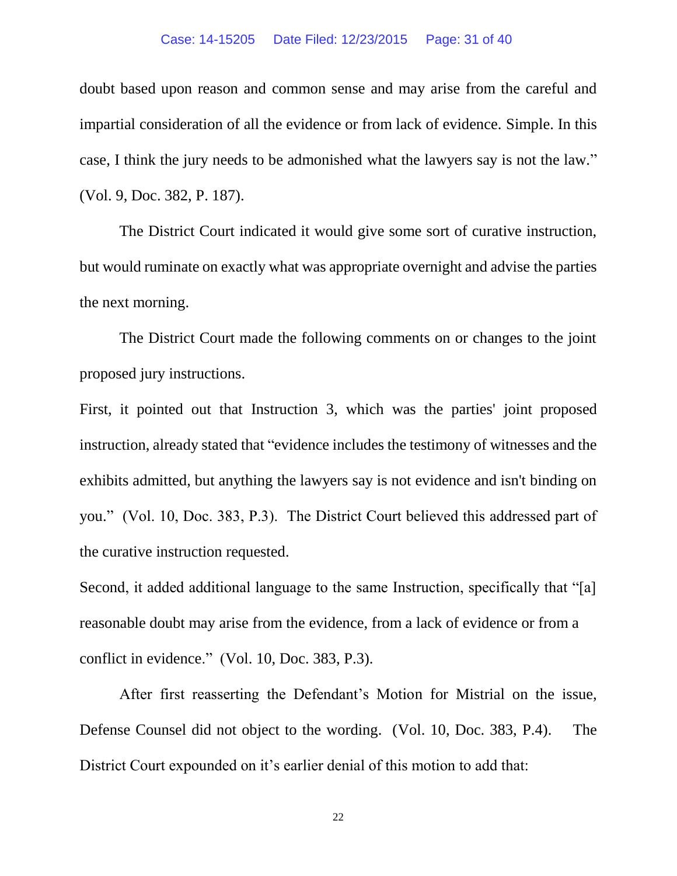#### Case: 14-15205 Date Filed: 12/23/2015 Page: 31 of 40

doubt based upon reason and common sense and may arise from the careful and impartial consideration of all the evidence or from lack of evidence. Simple. In this case, I think the jury needs to be admonished what the lawyers say is not the law." (Vol. 9, Doc. 382, P. 187).

The District Court indicated it would give some sort of curative instruction, but would ruminate on exactly what was appropriate overnight and advise the parties the next morning.

The District Court made the following comments on or changes to the joint proposed jury instructions.

First, it pointed out that Instruction 3, which was the parties' joint proposed instruction, already stated that "evidence includes the testimony of witnesses and the exhibits admitted, but anything the lawyers say is not evidence and isn't binding on you." (Vol. 10, Doc. 383, P.3). The District Court believed this addressed part of the curative instruction requested.

Second, it added additional language to the same Instruction, specifically that "[a] reasonable doubt may arise from the evidence, from a lack of evidence or from a conflict in evidence." (Vol. 10, Doc. 383, P.3).

After first reasserting the Defendant's Motion for Mistrial on the issue, Defense Counsel did not object to the wording. (Vol. 10, Doc. 383, P.4). The District Court expounded on it's earlier denial of this motion to add that: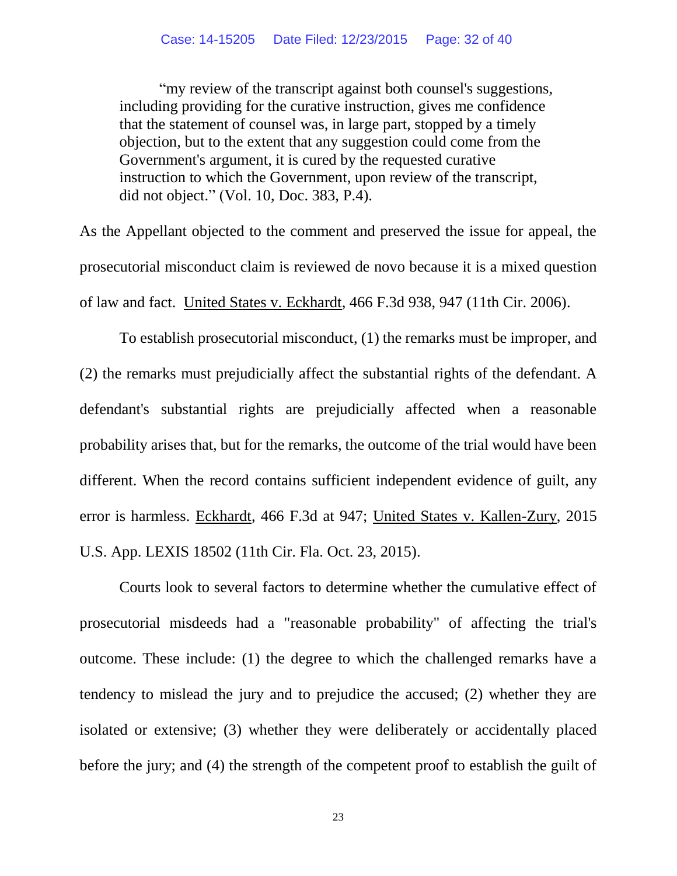"my review of the transcript against both counsel's suggestions, including providing for the curative instruction, gives me confidence that the statement of counsel was, in large part, stopped by a timely objection, but to the extent that any suggestion could come from the Government's argument, it is cured by the requested curative instruction to which the Government, upon review of the transcript, did not object." (Vol. 10, Doc. 383, P.4).

As the Appellant objected to the comment and preserved the issue for appeal, the prosecutorial misconduct claim is reviewed de novo because it is a mixed question of law and fact. United States v. Eckhardt, 466 F.3d 938, 947 (11th Cir. 2006).

To establish prosecutorial misconduct, (1) the remarks must be improper, and (2) the remarks must prejudicially affect the substantial rights of the defendant. A defendant's substantial rights are prejudicially affected when a reasonable probability arises that, but for the remarks, the outcome of the trial would have been different. When the record contains sufficient independent evidence of guilt, any error is harmless. Eckhardt, 466 F.3d at 947; United States v. Kallen-Zury, 2015 U.S. App. LEXIS 18502 (11th Cir. Fla. Oct. 23, 2015).

Courts look to several factors to determine whether the cumulative effect of prosecutorial misdeeds had a "reasonable probability" of affecting the trial's outcome. These include: (1) the degree to which the challenged remarks have a tendency to mislead the jury and to prejudice the accused; (2) whether they are isolated or extensive; (3) whether they were deliberately or accidentally placed before the jury; and (4) the strength of the competent proof to establish the guilt of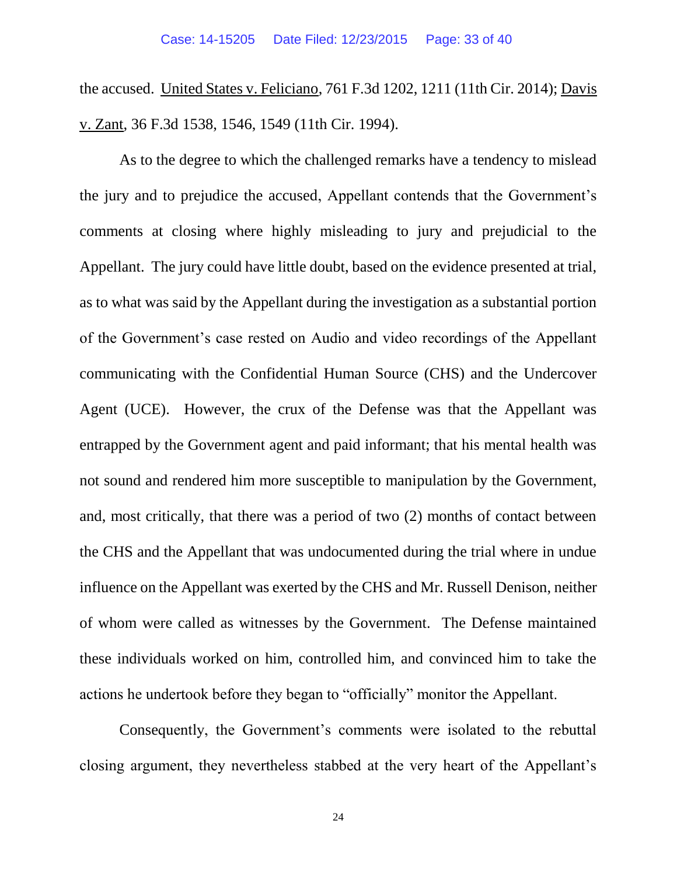the accused. United States v. Feliciano, 761 F.3d 1202, 1211 (11th Cir. 2014); Davis v. Zant, 36 F.3d 1538, 1546, 1549 (11th Cir. 1994).

As to the degree to which the challenged remarks have a tendency to mislead the jury and to prejudice the accused, Appellant contends that the Government's comments at closing where highly misleading to jury and prejudicial to the Appellant. The jury could have little doubt, based on the evidence presented at trial, as to what was said by the Appellant during the investigation as a substantial portion of the Government's case rested on Audio and video recordings of the Appellant communicating with the Confidential Human Source (CHS) and the Undercover Agent (UCE). However, the crux of the Defense was that the Appellant was entrapped by the Government agent and paid informant; that his mental health was not sound and rendered him more susceptible to manipulation by the Government, and, most critically, that there was a period of two (2) months of contact between the CHS and the Appellant that was undocumented during the trial where in undue influence on the Appellant was exerted by the CHS and Mr. Russell Denison, neither of whom were called as witnesses by the Government. The Defense maintained these individuals worked on him, controlled him, and convinced him to take the actions he undertook before they began to "officially" monitor the Appellant.

Consequently, the Government's comments were isolated to the rebuttal closing argument, they nevertheless stabbed at the very heart of the Appellant's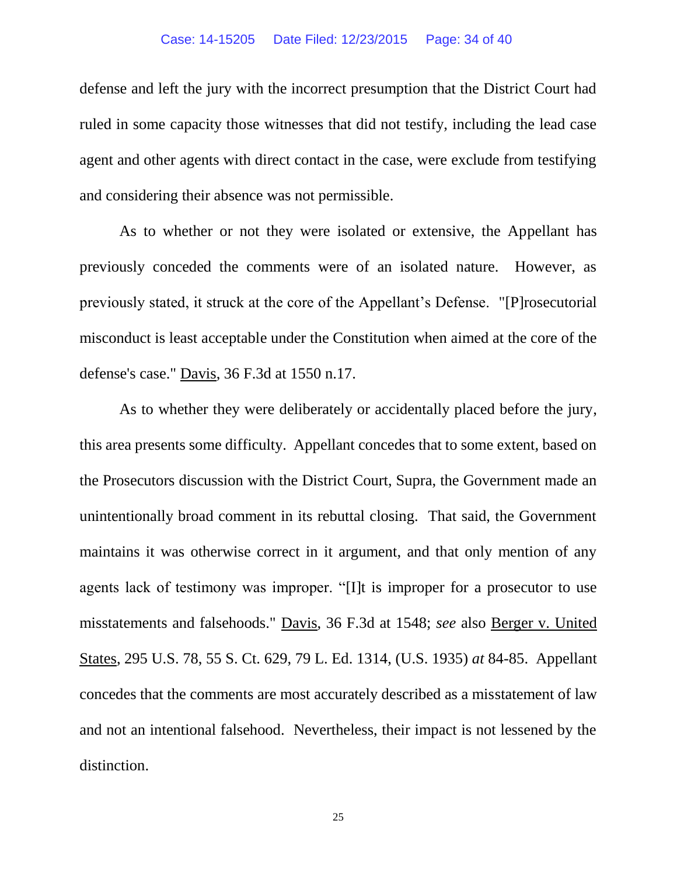defense and left the jury with the incorrect presumption that the District Court had ruled in some capacity those witnesses that did not testify, including the lead case agent and other agents with direct contact in the case, were exclude from testifying and considering their absence was not permissible.

As to whether or not they were isolated or extensive, the Appellant has previously conceded the comments were of an isolated nature. However, as previously stated, it struck at the core of the Appellant's Defense. "[P]rosecutorial misconduct is least acceptable under the Constitution when aimed at the core of the defense's case." Davis, 36 F.3d at 1550 n.17.

As to whether they were deliberately or accidentally placed before the jury, this area presents some difficulty. Appellant concedes that to some extent, based on the Prosecutors discussion with the District Court, Supra, the Government made an unintentionally broad comment in its rebuttal closing. That said, the Government maintains it was otherwise correct in it argument, and that only mention of any agents lack of testimony was improper. "[I]t is improper for a prosecutor to use misstatements and falsehoods." Davis, 36 F.3d at 1548; *see* also Berger v. United States, 295 U.S. 78, 55 S. Ct. 629, 79 L. Ed. 1314, (U.S. 1935) *at* 84-85. Appellant concedes that the comments are most accurately described as a misstatement of law and not an intentional falsehood. Nevertheless, their impact is not lessened by the distinction.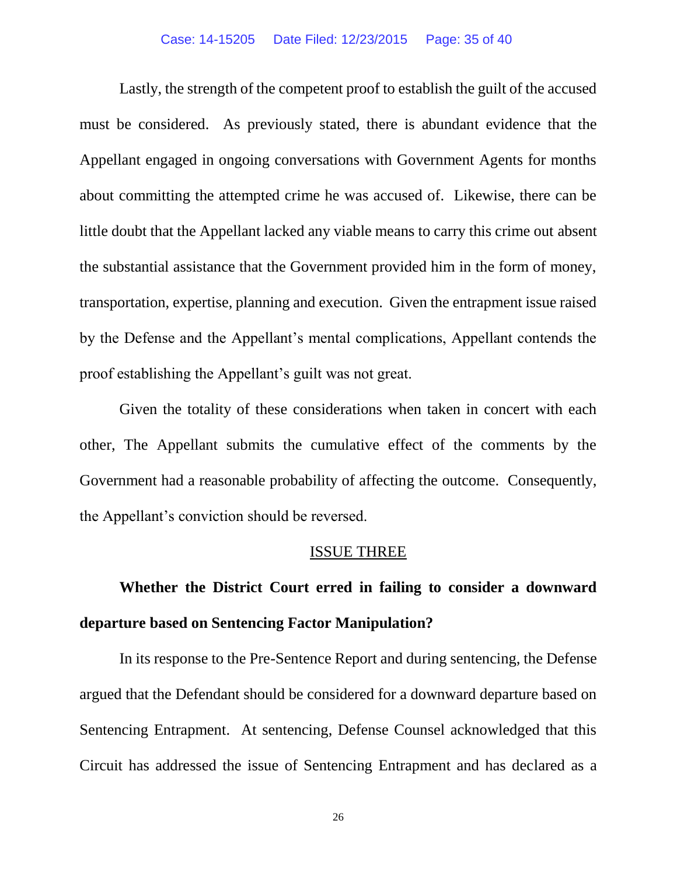#### Case: 14-15205 Date Filed: 12/23/2015 Page: 35 of 40

Lastly, the strength of the competent proof to establish the guilt of the accused must be considered. As previously stated, there is abundant evidence that the Appellant engaged in ongoing conversations with Government Agents for months about committing the attempted crime he was accused of. Likewise, there can be little doubt that the Appellant lacked any viable means to carry this crime out absent the substantial assistance that the Government provided him in the form of money, transportation, expertise, planning and execution. Given the entrapment issue raised by the Defense and the Appellant's mental complications, Appellant contends the proof establishing the Appellant's guilt was not great.

Given the totality of these considerations when taken in concert with each other, The Appellant submits the cumulative effect of the comments by the Government had a reasonable probability of affecting the outcome. Consequently, the Appellant's conviction should be reversed.

#### ISSUE THREE

# **Whether the District Court erred in failing to consider a downward departure based on Sentencing Factor Manipulation?**

In its response to the Pre-Sentence Report and during sentencing, the Defense argued that the Defendant should be considered for a downward departure based on Sentencing Entrapment. At sentencing, Defense Counsel acknowledged that this Circuit has addressed the issue of Sentencing Entrapment and has declared as a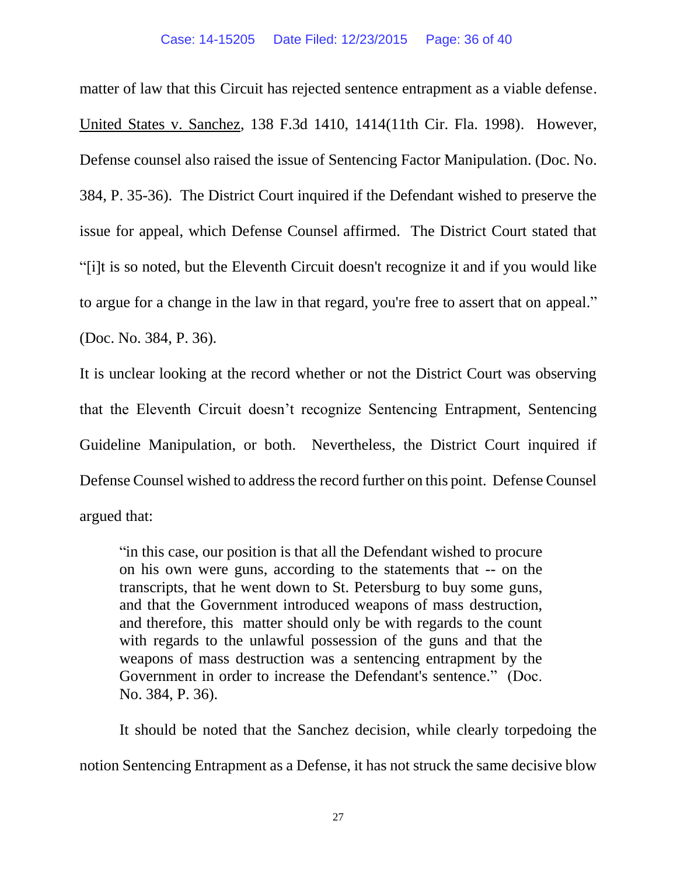matter of law that this Circuit has rejected sentence entrapment as a viable defense. United States v. Sanchez, 138 F.3d 1410, 1414(11th Cir. Fla. 1998). However, Defense counsel also raised the issue of Sentencing Factor Manipulation. (Doc. No. 384, P. 35-36). The District Court inquired if the Defendant wished to preserve the issue for appeal, which Defense Counsel affirmed. The District Court stated that "[i]t is so noted, but the Eleventh Circuit doesn't recognize it and if you would like to argue for a change in the law in that regard, you're free to assert that on appeal." (Doc. No. 384, P. 36).

It is unclear looking at the record whether or not the District Court was observing that the Eleventh Circuit doesn't recognize Sentencing Entrapment, Sentencing Guideline Manipulation, or both. Nevertheless, the District Court inquired if Defense Counsel wished to address the record further on this point. Defense Counsel argued that:

"in this case, our position is that all the Defendant wished to procure on his own were guns, according to the statements that -- on the transcripts, that he went down to St. Petersburg to buy some guns, and that the Government introduced weapons of mass destruction, and therefore, this matter should only be with regards to the count with regards to the unlawful possession of the guns and that the weapons of mass destruction was a sentencing entrapment by the Government in order to increase the Defendant's sentence." (Doc. No. 384, P. 36).

It should be noted that the Sanchez decision, while clearly torpedoing the notion Sentencing Entrapment as a Defense, it has not struck the same decisive blow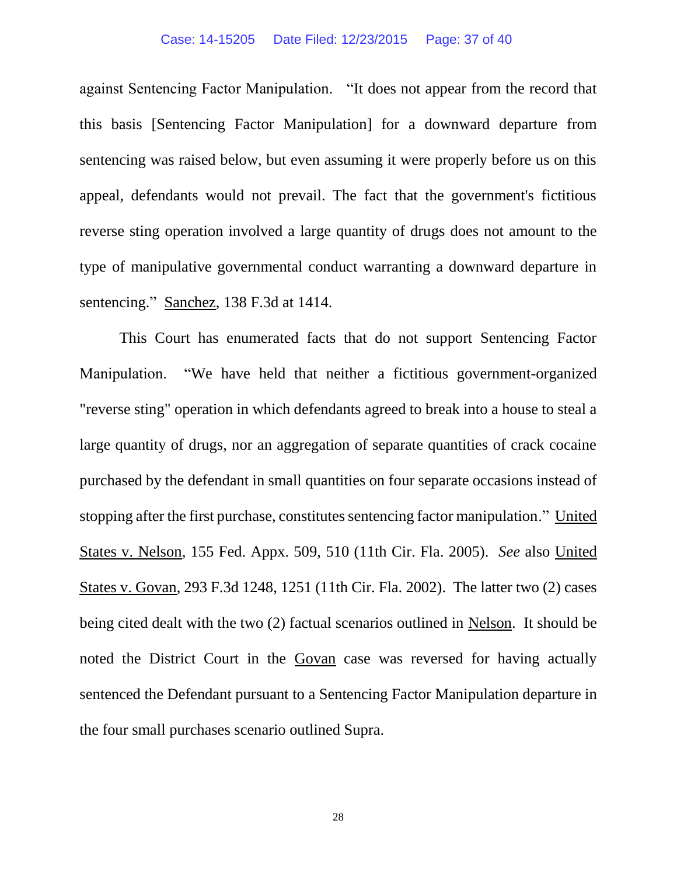#### Case: 14-15205 Date Filed: 12/23/2015 Page: 37 of 40

against Sentencing Factor Manipulation. "It does not appear from the record that this basis [Sentencing Factor Manipulation] for a downward departure from sentencing was raised below, but even assuming it were properly before us on this appeal, defendants would not prevail. The fact that the government's fictitious reverse sting operation involved a large quantity of drugs does not amount to the type of manipulative governmental conduct warranting a downward departure in sentencing." Sanchez, 138 F.3d at 1414.

This Court has enumerated facts that do not support Sentencing Factor Manipulation. "We have held that neither a fictitious government-organized "reverse sting" operation in which defendants agreed to break into a house to steal a large quantity of drugs, nor an aggregation of separate quantities of crack cocaine purchased by the defendant in small quantities on four separate occasions instead of stopping after the first purchase, constitutes sentencing factor manipulation." United States v. Nelson, 155 Fed. Appx. 509, 510 (11th Cir. Fla. 2005). *See* also United States v. Govan, 293 F.3d 1248, 1251 (11th Cir. Fla. 2002). The latter two (2) cases being cited dealt with the two (2) factual scenarios outlined in Nelson. It should be noted the District Court in the Govan case was reversed for having actually sentenced the Defendant pursuant to a Sentencing Factor Manipulation departure in the four small purchases scenario outlined Supra.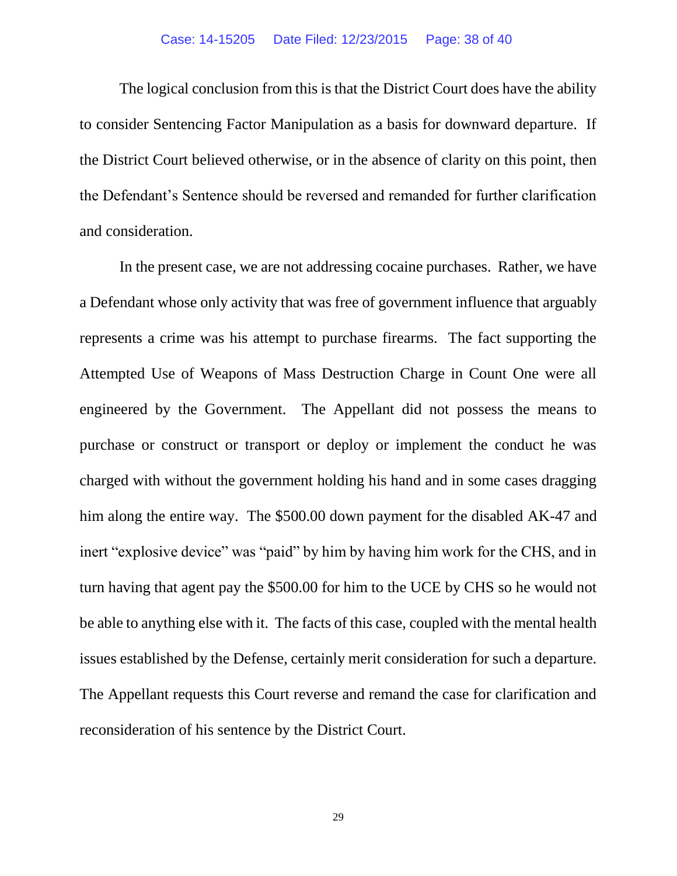#### Case: 14-15205 Date Filed: 12/23/2015 Page: 38 of 40

The logical conclusion from this is that the District Court does have the ability to consider Sentencing Factor Manipulation as a basis for downward departure. If the District Court believed otherwise, or in the absence of clarity on this point, then the Defendant's Sentence should be reversed and remanded for further clarification and consideration.

In the present case, we are not addressing cocaine purchases. Rather, we have a Defendant whose only activity that was free of government influence that arguably represents a crime was his attempt to purchase firearms. The fact supporting the Attempted Use of Weapons of Mass Destruction Charge in Count One were all engineered by the Government. The Appellant did not possess the means to purchase or construct or transport or deploy or implement the conduct he was charged with without the government holding his hand and in some cases dragging him along the entire way. The \$500.00 down payment for the disabled AK-47 and inert "explosive device" was "paid" by him by having him work for the CHS, and in turn having that agent pay the \$500.00 for him to the UCE by CHS so he would not be able to anything else with it. The facts of this case, coupled with the mental health issues established by the Defense, certainly merit consideration for such a departure. The Appellant requests this Court reverse and remand the case for clarification and reconsideration of his sentence by the District Court.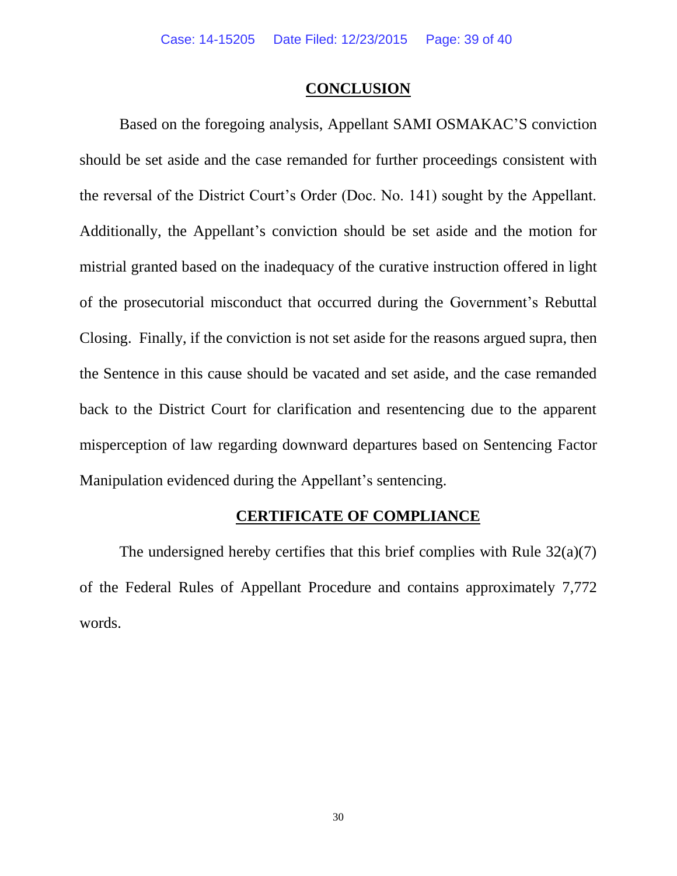#### **CONCLUSION**

Based on the foregoing analysis, Appellant SAMI OSMAKAC'S conviction should be set aside and the case remanded for further proceedings consistent with the reversal of the District Court's Order (Doc. No. 141) sought by the Appellant. Additionally, the Appellant's conviction should be set aside and the motion for mistrial granted based on the inadequacy of the curative instruction offered in light of the prosecutorial misconduct that occurred during the Government's Rebuttal Closing. Finally, if the conviction is not set aside for the reasons argued supra, then the Sentence in this cause should be vacated and set aside, and the case remanded back to the District Court for clarification and resentencing due to the apparent misperception of law regarding downward departures based on Sentencing Factor Manipulation evidenced during the Appellant's sentencing.

## **CERTIFICATE OF COMPLIANCE**

The undersigned hereby certifies that this brief complies with Rule  $32(a)(7)$ of the Federal Rules of Appellant Procedure and contains approximately 7,772 words.